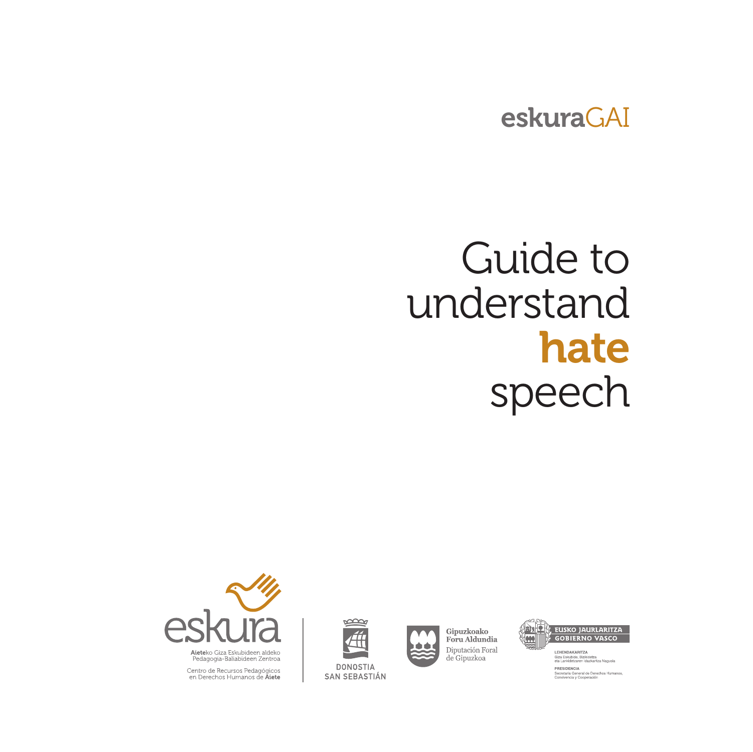### eskuraGAI

# Guide to understand hate speech





Gipuzkoako Foru Aldundia  $\begin{array}{c} \text{Diputación Foral} \\ \text{de Gipuzkoa} \end{array}$ 



Giza Eskubide, Bizikideta<br>eta Lankidetzaren Idazka PRESIDENCIA PRESIDENCIA<br>Secretaria General de Derechos Humanos<br>Convivencia y Cooperación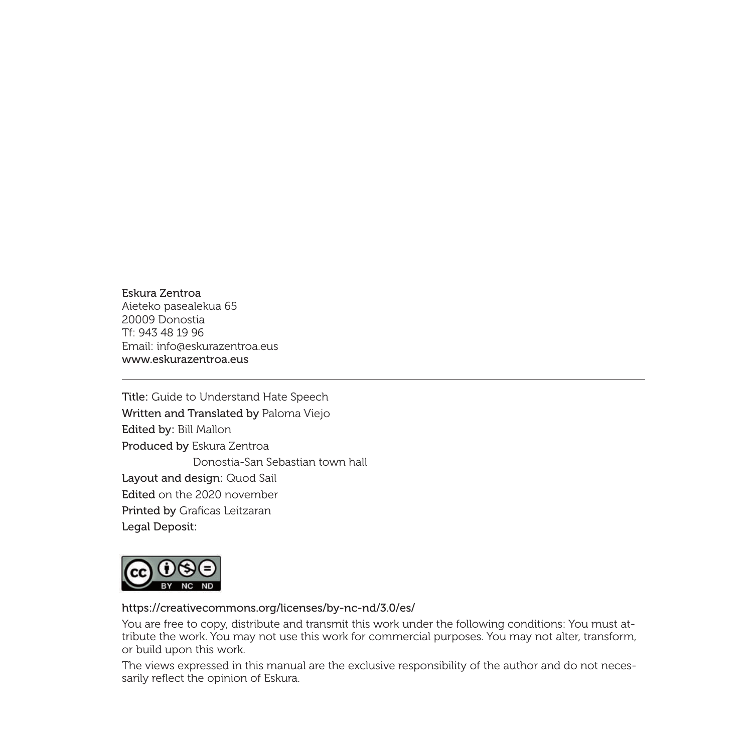#### Eskura Zentroa Aieteko pasealekua 65 20009 Donostia

Tf: 943 48 19 96 Email: info@eskurazentroa.eus www.eskurazentroa.eus

Title: Guide to Understand Hate Speech Written and Translated by Paloma Viejo Edited by: Bill Mallon Produced by Eskura Zentroa Donostia-San Sebastian town hall Layout and design: Quod Sail Edited on the 2020 november Printed by Graficas Leitzaran Legal Deposit:



#### https://creativecommons.org/licenses/by-nc-nd/3.0/es/

You are free to copy, distribute and transmit this work under the following conditions: You must attribute the work. You may not use this work for commercial purposes. You may not alter, transform, or build upon this work.

The views expressed in this manual are the exclusive responsibility of the author and do not necessarily reflect the opinion of Eskura.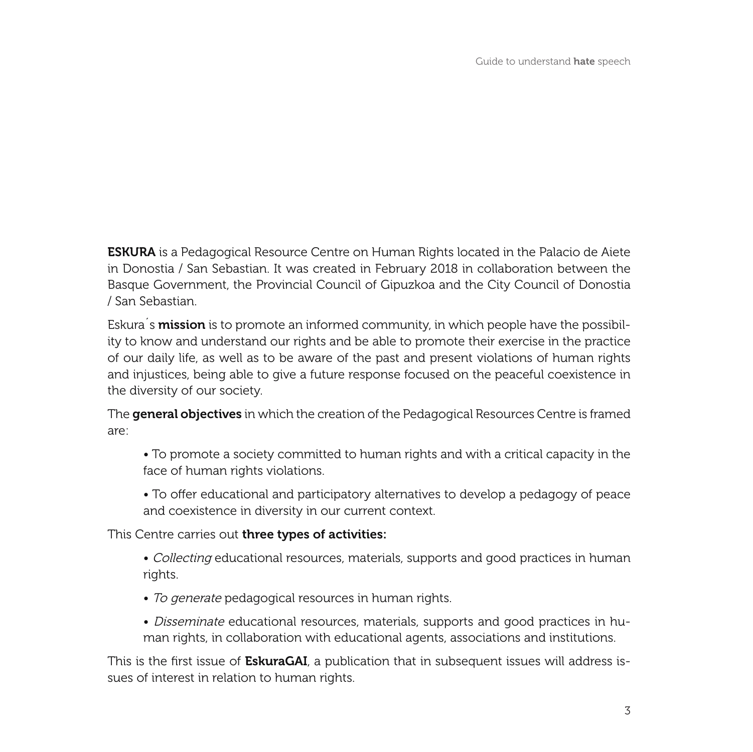**ESKURA** is a Pedagogical Resource Centre on Human Rights located in the Palacio de Aiete in Donostia / San Sebastian. It was created in February 2018 in collaboration between the Basque Government, the Provincial Council of Gipuzkoa and the City Council of Donostia / San Sebastian.

Eskura's mission is to promote an informed community, in which people have the possibility to know and understand our rights and be able to promote their exercise in the practice of our daily life, as well as to be aware of the past and present violations of human rights and injustices, being able to give a future response focused on the peaceful coexistence in the diversity of our society.

The **general objectives** in which the creation of the Pedagogical Resources Centre is framed are:

- To promote a society committed to human rights and with a critical capacity in the face of human rights violations.
- To offer educational and participatory alternatives to develop a pedagogy of peace and coexistence in diversity in our current context.

This Centre carries out three types of activities:

- Collecting educational resources, materials, supports and good practices in human rights.
- To generate pedagogical resources in human rights.
- Disseminate educational resources, materials, supports and good practices in human rights, in collaboration with educational agents, associations and institutions.

This is the first issue of **EskuraGAI**, a publication that in subsequent issues will address issues of interest in relation to human rights.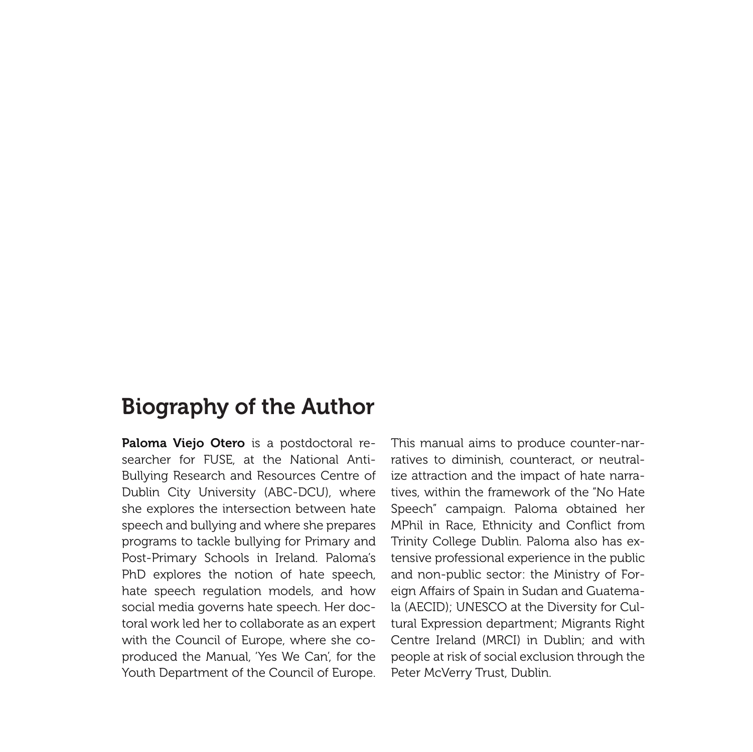### Biography of the Author

Paloma Viejo Otero is a postdoctoral researcher for FUSE, at the National Anti-Bullying Research and Resources Centre of Dublin City University (ABC-DCU), where she explores the intersection between hate speech and bullying and where she prepares programs to tackle bullying for Primary and Post-Primary Schools in Ireland. Paloma's PhD explores the notion of hate speech, hate speech regulation models, and how social media governs hate speech. Her doctoral work led her to collaborate as an expert with the Council of Europe, where she coproduced the Manual, 'Yes We Can', for the Youth Department of the Council of Europe.

This manual aims to produce counter-narratives to diminish, counteract, or neutralize attraction and the impact of hate narratives, within the framework of the "No Hate Speech" campaign. Paloma obtained her MPhil in Race, Ethnicity and Conflict from Trinity College Dublin. Paloma also has extensive professional experience in the public and non-public sector: the Ministry of Foreign Affairs of Spain in Sudan and Guatemala (AECID); UNESCO at the Diversity for Cultural Expression department; Migrants Right Centre Ireland (MRCI) in Dublin; and with people at risk of social exclusion through the Peter McVerry Trust, Dublin.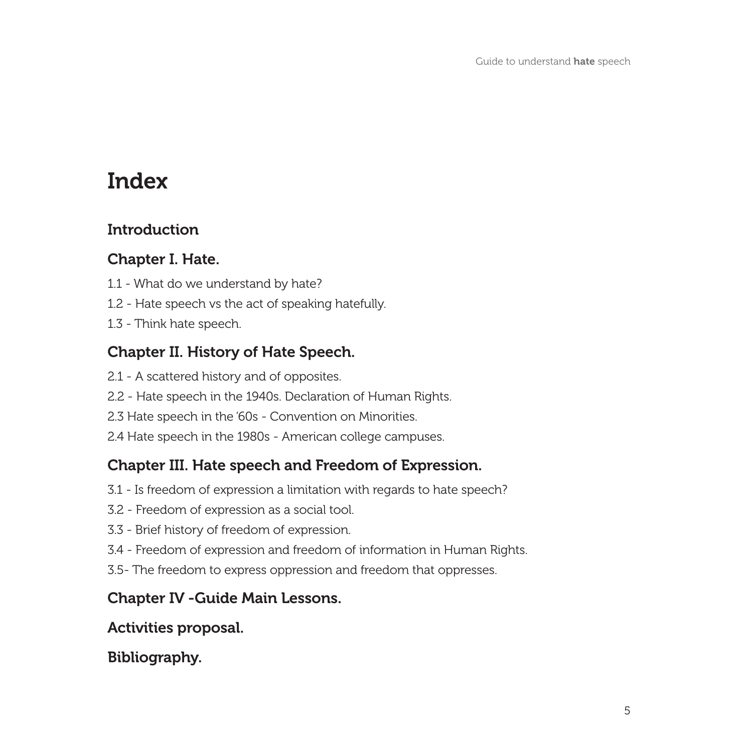### Index

#### **Introduction**

#### Chapter I. Hate.

- 1.1 What do we understand by hate?
- 1.2 Hate speech vs the act of speaking hatefully.
- 1.3 Think hate speech.

#### Chapter II. History of Hate Speech.

- 2.1 A scattered history and of opposites.
- 2.2 Hate speech in the 1940s. Declaration of Human Rights.
- 2.3 Hate speech in the '60s Convention on Minorities.
- 2.4 Hate speech in the 1980s American college campuses.

#### Chapter III. Hate speech and Freedom of Expression.

- 3.1 Is freedom of expression a limitation with regards to hate speech?
- 3.2 Freedom of expression as a social tool.
- 3.3 Brief history of freedom of expression.
- 3.4 Freedom of expression and freedom of information in Human Rights.
- 3.5- The freedom to express oppression and freedom that oppresses.

#### Chapter IV -Guide Main Lessons.

#### Activities proposal.

#### Bibliography.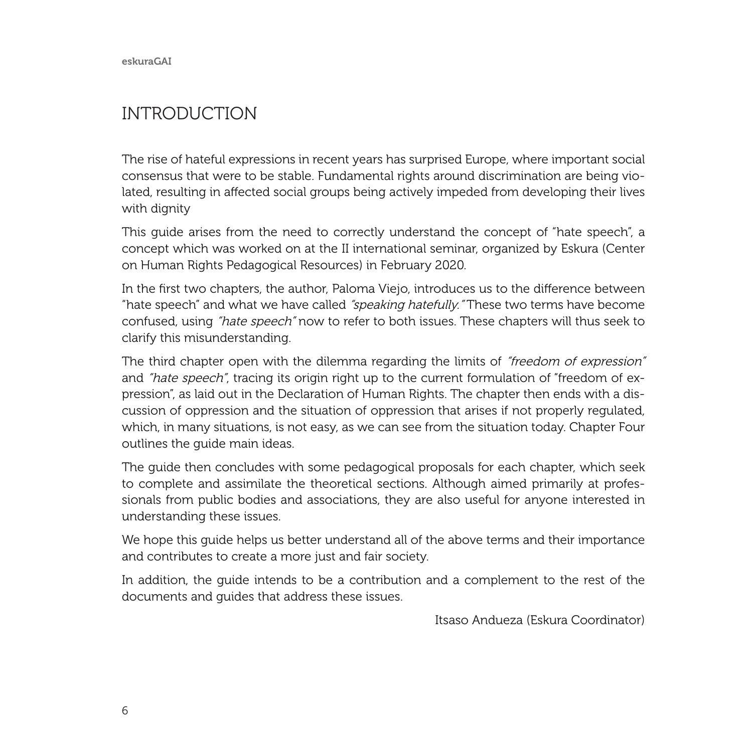eskuraGAI

#### INTRODUCTION

The rise of hateful expressions in recent years has surprised Europe, where important social consensus that were to be stable. Fundamental rights around discrimination are being violated, resulting in affected social groups being actively impeded from developing their lives with dignity

This guide arises from the need to correctly understand the concept of "hate speech", a concept which was worked on at the II international seminar, organized by Eskura (Center on Human Rights Pedagogical Resources) in February 2020.

In the first two chapters, the author, Paloma Viejo, introduces us to the difference between "hate speech" and what we have called "speaking hatefully." These two terms have become confused, using "hate speech" now to refer to both issues. These chapters will thus seek to clarify this misunderstanding.

The third chapter open with the dilemma regarding the limits of "freedom of expression" and "hate speech", tracing its origin right up to the current formulation of "freedom of expression", as laid out in the Declaration of Human Rights. The chapter then ends with a discussion of oppression and the situation of oppression that arises if not properly regulated, which, in many situations, is not easy, as we can see from the situation today. Chapter Four outlines the guide main ideas.

The guide then concludes with some pedagogical proposals for each chapter, which seek to complete and assimilate the theoretical sections. Although aimed primarily at professionals from public bodies and associations, they are also useful for anyone interested in understanding these issues.

We hope this guide helps us better understand all of the above terms and their importance and contributes to create a more just and fair society.

In addition, the guide intends to be a contribution and a complement to the rest of the documents and guides that address these issues.

Itsaso Andueza (Eskura Coordinator)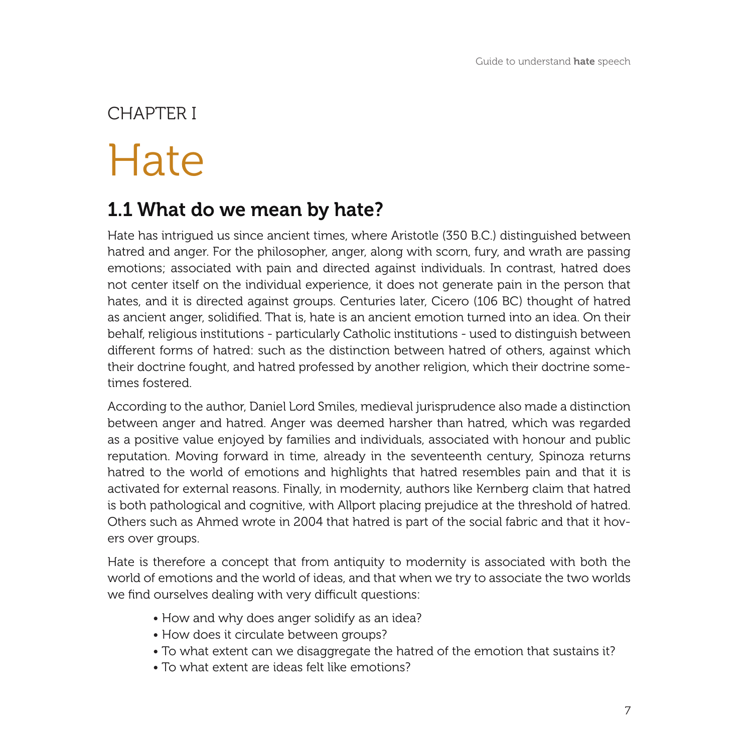# Hate CHAPTER I

### 1.1 What do we mean by hate?

Hate has intrigued us since ancient times, where Aristotle (350 B.C.) distinguished between hatred and anger. For the philosopher, anger, along with scorn, fury, and wrath are passing emotions; associated with pain and directed against individuals. In contrast, hatred does not center itself on the individual experience, it does not generate pain in the person that hates, and it is directed against groups. Centuries later, Cicero (106 BC) thought of hatred as ancient anger, solidified. That is, hate is an ancient emotion turned into an idea. On their behalf, religious institutions - particularly Catholic institutions - used to distinguish between different forms of hatred: such as the distinction between hatred of others, against which their doctrine fought, and hatred professed by another religion, which their doctrine sometimes fostered.

According to the author, Daniel Lord Smiles, medieval jurisprudence also made a distinction between anger and hatred. Anger was deemed harsher than hatred, which was regarded as a positive value enjoyed by families and individuals, associated with honour and public reputation. Moving forward in time, already in the seventeenth century, Spinoza returns hatred to the world of emotions and highlights that hatred resembles pain and that it is activated for external reasons. Finally, in modernity, authors like Kernberg claim that hatred is both pathological and cognitive, with Allport placing prejudice at the threshold of hatred. Others such as Ahmed wrote in 2004 that hatred is part of the social fabric and that it hovers over groups.

Hate is therefore a concept that from antiquity to modernity is associated with both the world of emotions and the world of ideas, and that when we try to associate the two worlds we find ourselves dealing with very difficult questions:

- How and why does anger solidify as an idea?
- How does it circulate between groups?
- To what extent can we disaggregate the hatred of the emotion that sustains it?
- To what extent are ideas felt like emotions?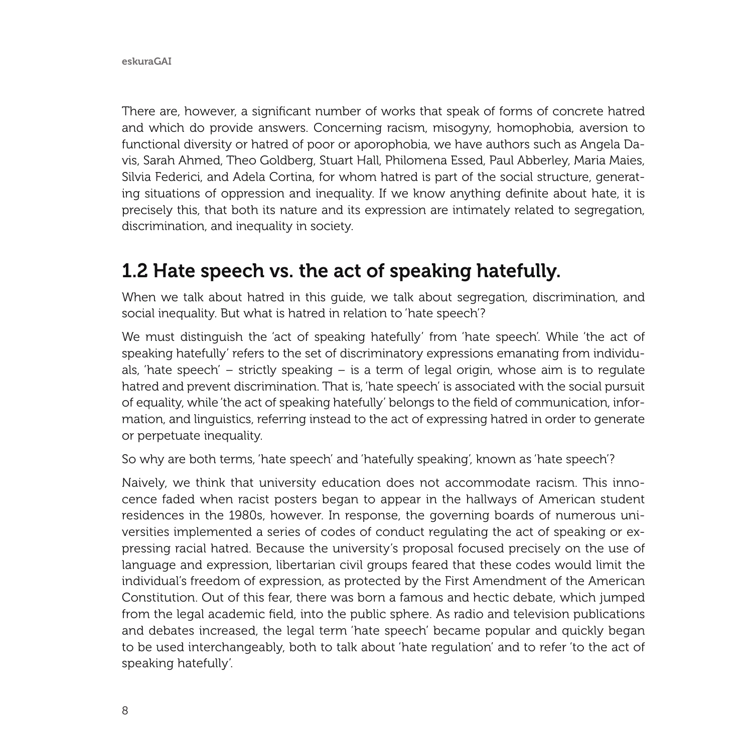There are, however, a significant number of works that speak of forms of concrete hatred and which do provide answers. Concerning racism, misogyny, homophobia, aversion to functional diversity or hatred of poor or aporophobia, we have authors such as Angela Davis, Sarah Ahmed, Theo Goldberg, Stuart Hall, Philomena Essed, Paul Abberley, Maria Maies, Silvia Federici, and Adela Cortina, for whom hatred is part of the social structure, generating situations of oppression and inequality. If we know anything definite about hate, it is precisely this, that both its nature and its expression are intimately related to segregation, discrimination, and inequality in society.

### 1.2 Hate speech vs. the act of speaking hatefully.

When we talk about hatred in this guide, we talk about segregation, discrimination, and social inequality. But what is hatred in relation to 'hate speech'?

We must distinguish the 'act of speaking hatefully' from 'hate speech'. While 'the act of speaking hatefully' refers to the set of discriminatory expressions emanating from individuals, 'hate speech' – strictly speaking – is a term of legal origin, whose aim is to regulate hatred and prevent discrimination. That is, 'hate speech' is associated with the social pursuit of equality, while 'the act of speaking hatefully' belongs to the field of communication, information, and linguistics, referring instead to the act of expressing hatred in order to generate or perpetuate inequality.

So why are both terms, 'hate speech' and 'hatefully speaking', known as 'hate speech'?

Naively, we think that university education does not accommodate racism. This innocence faded when racist posters began to appear in the hallways of American student residences in the 1980s, however. In response, the governing boards of numerous universities implemented a series of codes of conduct regulating the act of speaking or expressing racial hatred. Because the university's proposal focused precisely on the use of language and expression, libertarian civil groups feared that these codes would limit the individual's freedom of expression, as protected by the First Amendment of the American Constitution. Out of this fear, there was born a famous and hectic debate, which jumped from the legal academic field, into the public sphere. As radio and television publications and debates increased, the legal term 'hate speech' became popular and quickly began to be used interchangeably, both to talk about 'hate regulation' and to refer 'to the act of speaking hatefully'.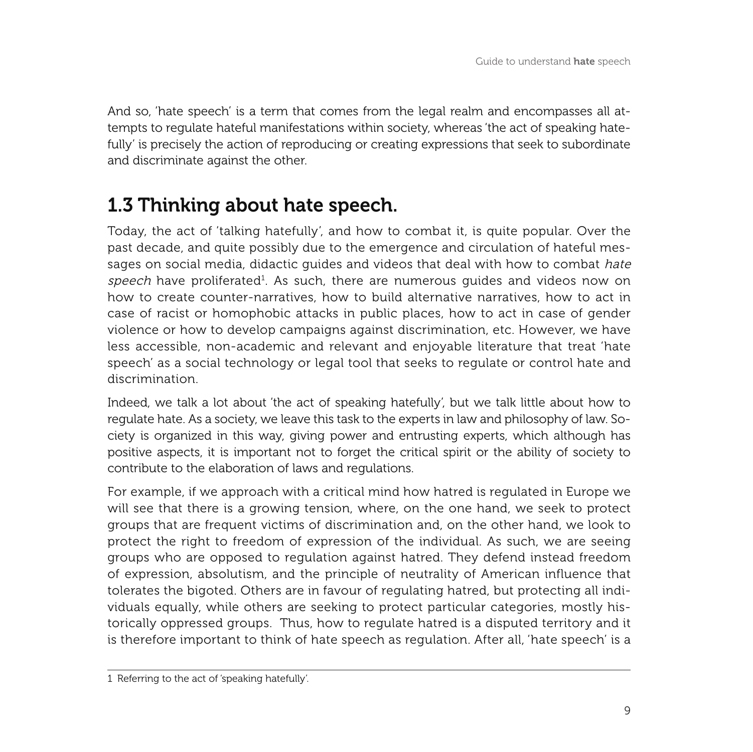And so, 'hate speech' is a term that comes from the legal realm and encompasses all attempts to regulate hateful manifestations within society, whereas 'the act of speaking hatefully' is precisely the action of reproducing or creating expressions that seek to subordinate and discriminate against the other.

### 1.3 Thinking about hate speech.

Today, the act of 'talking hatefully', and how to combat it, is quite popular. Over the past decade, and quite possibly due to the emergence and circulation of hateful messages on social media, didactic guides and videos that deal with how to combat hate  $speech$  have proliferated $^1$ . As such, there are numerous guides and videos now on how to create counter-narratives, how to build alternative narratives, how to act in case of racist or homophobic attacks in public places, how to act in case of gender violence or how to develop campaigns against discrimination, etc. However, we have less accessible, non-academic and relevant and enjoyable literature that treat 'hate speech' as a social technology or legal tool that seeks to regulate or control hate and discrimination.

Indeed, we talk a lot about 'the act of speaking hatefully', but we talk little about how to regulate hate. As a society, we leave this task to the experts in law and philosophy of law. Society is organized in this way, giving power and entrusting experts, which although has positive aspects, it is important not to forget the critical spirit or the ability of society to contribute to the elaboration of laws and regulations.

For example, if we approach with a critical mind how hatred is regulated in Europe we will see that there is a growing tension, where, on the one hand, we seek to protect groups that are frequent victims of discrimination and, on the other hand, we look to protect the right to freedom of expression of the individual. As such, we are seeing groups who are opposed to regulation against hatred. They defend instead freedom of expression, absolutism, and the principle of neutrality of American influence that tolerates the bigoted. Others are in favour of regulating hatred, but protecting all individuals equally, while others are seeking to protect particular categories, mostly historically oppressed groups. Thus, how to regulate hatred is a disputed territory and it is therefore important to think of hate speech as regulation. After all, 'hate speech' is a

<sup>1</sup> Referring to the act of 'speaking hatefully'.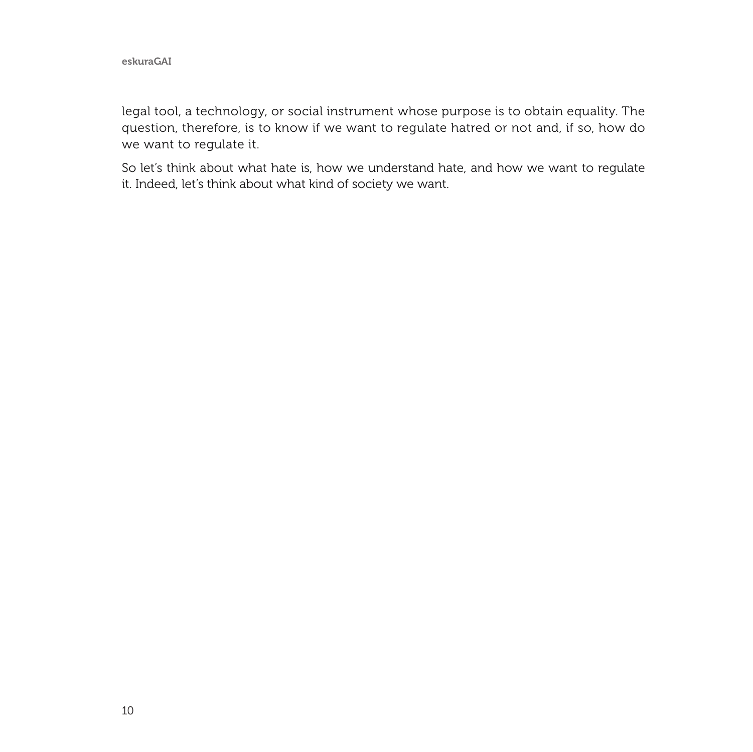legal tool, a technology, or social instrument whose purpose is to obtain equality. The question, therefore, is to know if we want to regulate hatred or not and, if so, how do we want to regulate it.

So let's think about what hate is, how we understand hate, and how we want to regulate it. Indeed, let's think about what kind of society we want.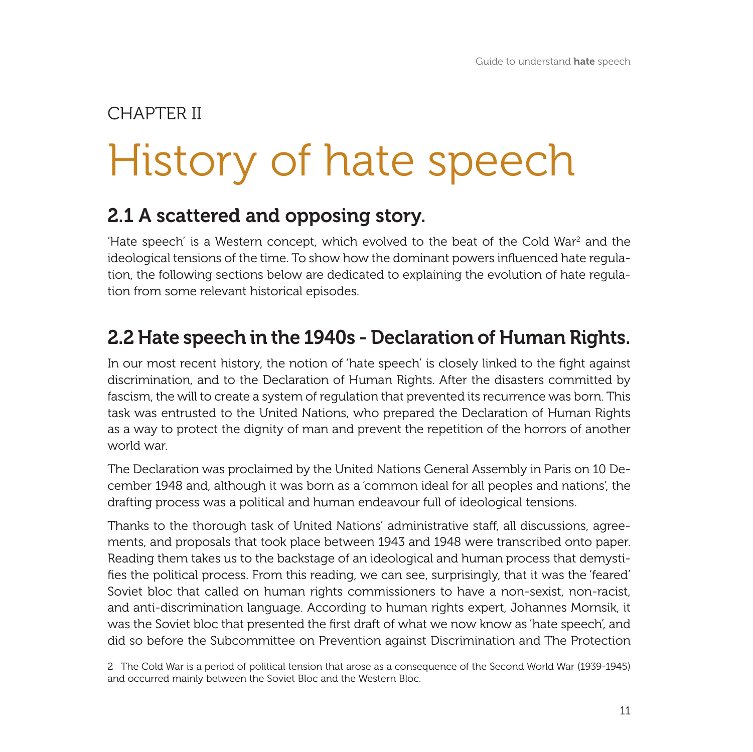# History of hate speech CHAPTER II

### 2.1 A scattered and opposing story.

'Hate speech' is a Western concept, which evolved to the beat of the Cold War<sup>2</sup> and the ideological tensions of the time. To show how the dominant powers influenced hate regulation, the following sections below are dedicated to explaining the evolution of hate regulation from some relevant historical episodes.

### 2.2 Hate speech in the 1940s - Declaration of Human Rights.

In our most recent history, the notion of 'hate speech' is closely linked to the fight against discrimination, and to the Declaration of Human Rights. After the disasters committed by fascism, the will to create a system of regulation that prevented its recurrence was born. This task was entrusted to the United Nations, who prepared the Declaration of Human Rights as a way to protect the dignity of man and prevent the repetition of the horrors of another world war.

The Declaration was proclaimed by the United Nations General Assembly in Paris on 10 December 1948 and, although it was born as a 'common ideal for all peoples and nations', the drafting process was a political and human endeavour full of ideological tensions.

Thanks to the thorough task of United Nations' administrative staff, all discussions, agreements, and proposals that took place between 1943 and 1948 were transcribed onto paper. Reading them takes us to the backstage of an ideological and human process that demystifies the political process. From this reading, we can see, surprisingly, that it was the 'feared' Soviet bloc that called on human rights commissioners to have a non-sexist, non-racist, and anti-discrimination language. According to human rights expert, Johannes Mornsik, it was the Soviet bloc that presented the first draft of what we now know as 'hate speech', and did so before the Subcommittee on Prevention against Discrimination and The Protection

<sup>2</sup> The Cold War is a period of political tension that arose as a consequence of the Second World War (1939-1945) and occurred mainly between the Soviet Bloc and the Western Bloc.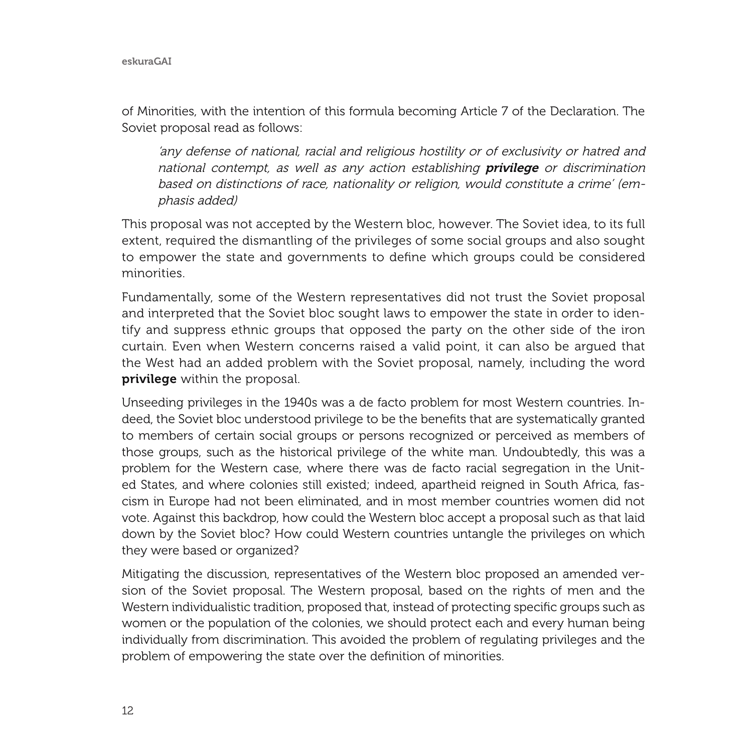of Minorities, with the intention of this formula becoming Article 7 of the Declaration. The Soviet proposal read as follows:

'any defense of national, racial and religious hostility or of exclusivity or hatred and national contempt, as well as any action establishing **privilege** or discrimination based on distinctions of race, nationality or religion, would constitute a crime' (emphasis added)

This proposal was not accepted by the Western bloc, however. The Soviet idea, to its full extent, required the dismantling of the privileges of some social groups and also sought to empower the state and governments to define which groups could be considered minorities.

Fundamentally, some of the Western representatives did not trust the Soviet proposal and interpreted that the Soviet bloc sought laws to empower the state in order to identify and suppress ethnic groups that opposed the party on the other side of the iron curtain. Even when Western concerns raised a valid point, it can also be argued that the West had an added problem with the Soviet proposal, namely, including the word privilege within the proposal.

Unseeding privileges in the 1940s was a de facto problem for most Western countries. Indeed, the Soviet bloc understood privilege to be the benefits that are systematically granted to members of certain social groups or persons recognized or perceived as members of those groups, such as the historical privilege of the white man. Undoubtedly, this was a problem for the Western case, where there was de facto racial segregation in the United States, and where colonies still existed; indeed, apartheid reigned in South Africa, fascism in Europe had not been eliminated, and in most member countries women did not vote. Against this backdrop, how could the Western bloc accept a proposal such as that laid down by the Soviet bloc? How could Western countries untangle the privileges on which they were based or organized?

Mitigating the discussion, representatives of the Western bloc proposed an amended version of the Soviet proposal. The Western proposal, based on the rights of men and the Western individualistic tradition, proposed that, instead of protecting specific groups such as women or the population of the colonies, we should protect each and every human being individually from discrimination. This avoided the problem of regulating privileges and the problem of empowering the state over the definition of minorities.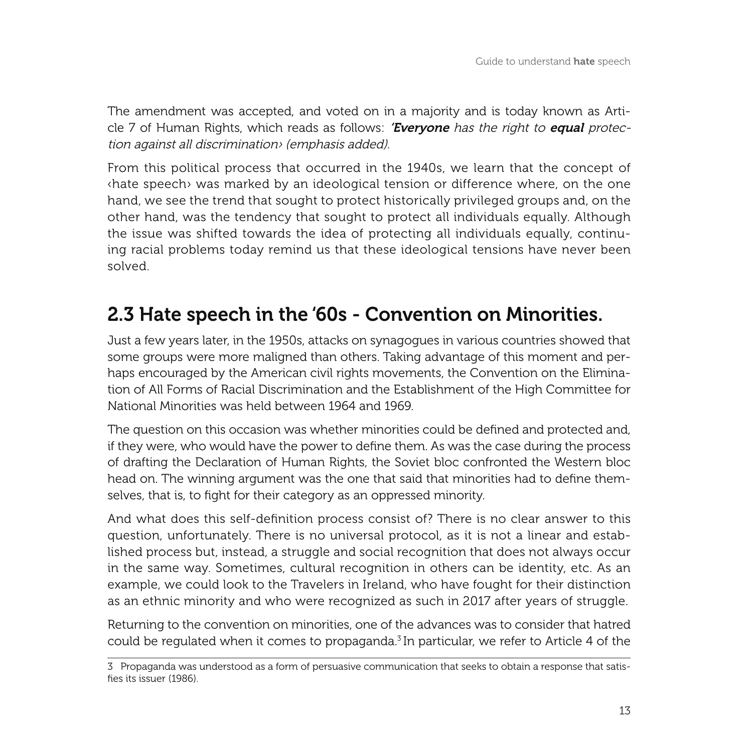The amendment was accepted, and voted on in a majority and is today known as Article 7 of Human Rights, which reads as follows: **'Evervone** has the right to **equal** protection against all discrimination› (emphasis added).

From this political process that occurred in the 1940s, we learn that the concept of ‹hate speech› was marked by an ideological tension or difference where, on the one hand, we see the trend that sought to protect historically privileged groups and, on the other hand, was the tendency that sought to protect all individuals equally. Although the issue was shifted towards the idea of protecting all individuals equally, continuing racial problems today remind us that these ideological tensions have never been solved.

### 2.3 Hate speech in the '60s - Convention on Minorities.

Just a few years later, in the 1950s, attacks on synagogues in various countries showed that some groups were more maligned than others. Taking advantage of this moment and perhaps encouraged by the American civil rights movements, the Convention on the Elimination of All Forms of Racial Discrimination and the Establishment of the High Committee for National Minorities was held between 1964 and 1969.

The question on this occasion was whether minorities could be defined and protected and, if they were, who would have the power to define them. As was the case during the process of drafting the Declaration of Human Rights, the Soviet bloc confronted the Western bloc head on. The winning argument was the one that said that minorities had to define themselves, that is, to fight for their category as an oppressed minority.

And what does this self-definition process consist of? There is no clear answer to this question, unfortunately. There is no universal protocol, as it is not a linear and established process but, instead, a struggle and social recognition that does not always occur in the same way. Sometimes, cultural recognition in others can be identity, etc. As an example, we could look to the Travelers in Ireland, who have fought for their distinction as an ethnic minority and who were recognized as such in 2017 after years of struggle.

Returning to the convention on minorities, one of the advances was to consider that hatred could be regulated when it comes to propaganda.<sup>3</sup> In particular, we refer to Article 4 of the

<sup>3</sup> Propaganda was understood as a form of persuasive communication that seeks to obtain a response that satisfies its issuer (1986).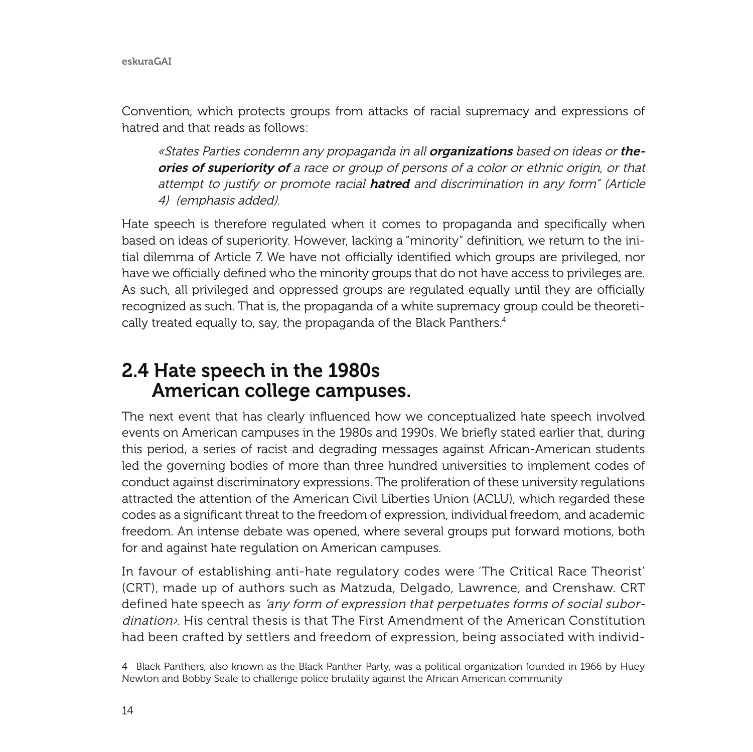Convention, which protects groups from attacks of racial supremacy and expressions of hatred and that reads as follows:

«States Parties condemn any propaganda in all **organizations** based on ideas or theories of superiority of a race or group of persons of a color or ethnic origin, or that attempt to justify or promote racial **hatred** and discrimination in any form" (Article 4) (emphasis added).

Hate speech is therefore regulated when it comes to propaganda and specifically when based on ideas of superiority. However, lacking a "minority" definition, we return to the initial dilemma of Article 7. We have not officially identified which groups are privileged, nor have we officially defined who the minority groups that do not have access to privileges are. As such, all privileged and oppressed groups are regulated equally until they are officially recognized as such. That is, the propaganda of a white supremacy group could be theoretically treated equally to, say, the propaganda of the Black Panthers.4

#### 2.4 Hate speech in the 1980s American college campuses.

The next event that has clearly influenced how we conceptualized hate speech involved events on American campuses in the 1980s and 1990s. We briefly stated earlier that, during this period, a series of racist and degrading messages against African-American students led the governing bodies of more than three hundred universities to implement codes of conduct against discriminatory expressions. The proliferation of these university regulations attracted the attention of the American Civil Liberties Union (ACLU), which regarded these codes as a significant threat to the freedom of expression, individual freedom, and academic freedom. An intense debate was opened, where several groups put forward motions, both for and against hate regulation on American campuses.

In favour of establishing anti-hate regulatory codes were 'The Critical Race Theorist' (CRT), made up of authors such as Matzuda, Delgado, Lawrence, and Crenshaw. CRT defined hate speech as 'any form of expression that perpetuates forms of social subordination›. His central thesis is that The First Amendment of the American Constitution had been crafted by settlers and freedom of expression, being associated with individ-

<sup>4</sup> Black Panthers, also known as the Black Panther Party, was a political organization founded in 1966 by Huey Newton and Bobby Seale to challenge police brutality against the African American community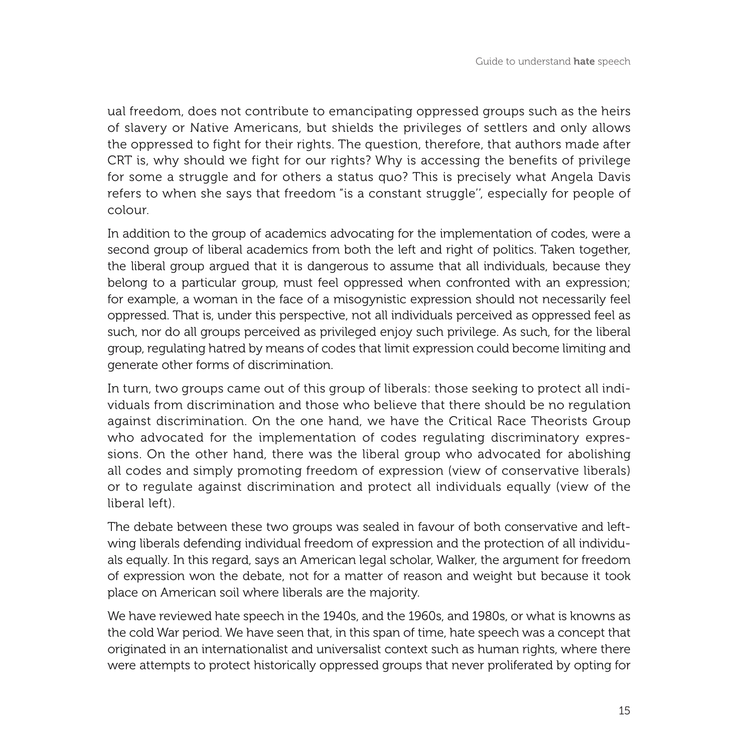ual freedom, does not contribute to emancipating oppressed groups such as the heirs of slavery or Native Americans, but shields the privileges of settlers and only allows the oppressed to fight for their rights. The question, therefore, that authors made after CRT is, why should we fight for our rights? Why is accessing the benefits of privilege for some a struggle and for others a status quo? This is precisely what Angela Davis refers to when she says that freedom "is a constant struggle'', especially for people of colour.

In addition to the group of academics advocating for the implementation of codes, were a second group of liberal academics from both the left and right of politics. Taken together, the liberal group argued that it is dangerous to assume that all individuals, because they belong to a particular group, must feel oppressed when confronted with an expression; for example, a woman in the face of a misogynistic expression should not necessarily feel oppressed. That is, under this perspective, not all individuals perceived as oppressed feel as such, nor do all groups perceived as privileged enjoy such privilege. As such, for the liberal group, regulating hatred by means of codes that limit expression could become limiting and generate other forms of discrimination.

In turn, two groups came out of this group of liberals: those seeking to protect all individuals from discrimination and those who believe that there should be no regulation against discrimination. On the one hand, we have the Critical Race Theorists Group who advocated for the implementation of codes regulating discriminatory expressions. On the other hand, there was the liberal group who advocated for abolishing all codes and simply promoting freedom of expression (view of conservative liberals) or to regulate against discrimination and protect all individuals equally (view of the liberal left).

The debate between these two groups was sealed in favour of both conservative and leftwing liberals defending individual freedom of expression and the protection of all individuals equally. In this regard, says an American legal scholar, Walker, the argument for freedom of expression won the debate, not for a matter of reason and weight but because it took place on American soil where liberals are the majority.

We have reviewed hate speech in the 1940s, and the 1960s, and 1980s, or what is knowns as the cold War period. We have seen that, in this span of time, hate speech was a concept that originated in an internationalist and universalist context such as human rights, where there were attempts to protect historically oppressed groups that never proliferated by opting for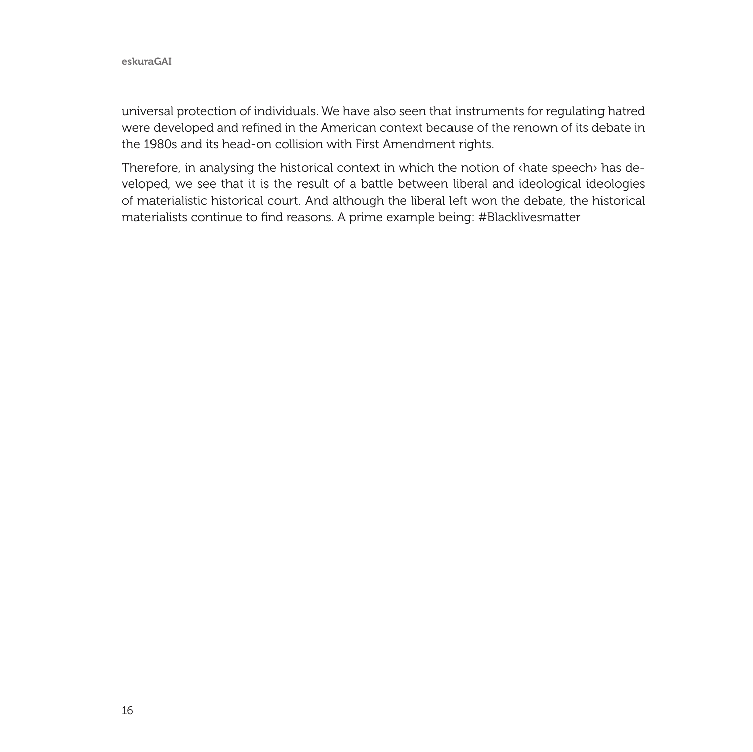universal protection of individuals. We have also seen that instruments for regulating hatred were developed and refined in the American context because of the renown of its debate in the 1980s and its head-on collision with First Amendment rights.

Therefore, in analysing the historical context in which the notion of ‹hate speech› has developed, we see that it is the result of a battle between liberal and ideological ideologies of materialistic historical court. And although the liberal left won the debate, the historical materialists continue to find reasons. A prime example being: #Blacklivesmatter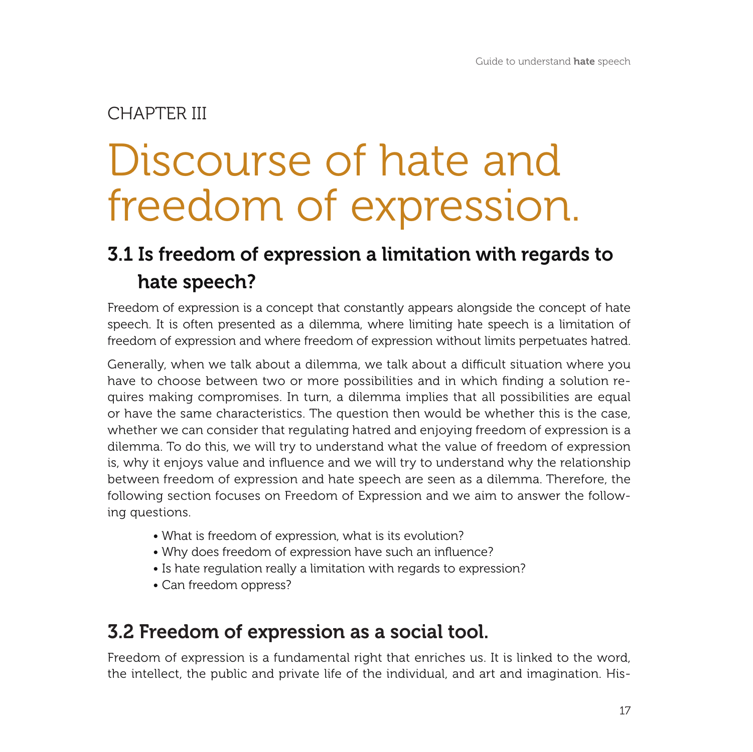#### CHAPTER III

# Discourse of hate and freedom of expression.

### 3.1 Is freedom of expression a limitation with regards to hate speech?

Freedom of expression is a concept that constantly appears alongside the concept of hate speech. It is often presented as a dilemma, where limiting hate speech is a limitation of freedom of expression and where freedom of expression without limits perpetuates hatred.

Generally, when we talk about a dilemma, we talk about a difficult situation where you have to choose between two or more possibilities and in which finding a solution requires making compromises. In turn, a dilemma implies that all possibilities are equal or have the same characteristics. The question then would be whether this is the case, whether we can consider that regulating hatred and enjoying freedom of expression is a dilemma. To do this, we will try to understand what the value of freedom of expression is, why it enjoys value and influence and we will try to understand why the relationship between freedom of expression and hate speech are seen as a dilemma. Therefore, the following section focuses on Freedom of Expression and we aim to answer the following questions.

- What is freedom of expression, what is its evolution?
- Why does freedom of expression have such an influence?
- Is hate regulation really a limitation with regards to expression?
- Can freedom oppress?

### 3.2 Freedom of expression as a social tool.

Freedom of expression is a fundamental right that enriches us. It is linked to the word, the intellect, the public and private life of the individual, and art and imagination. His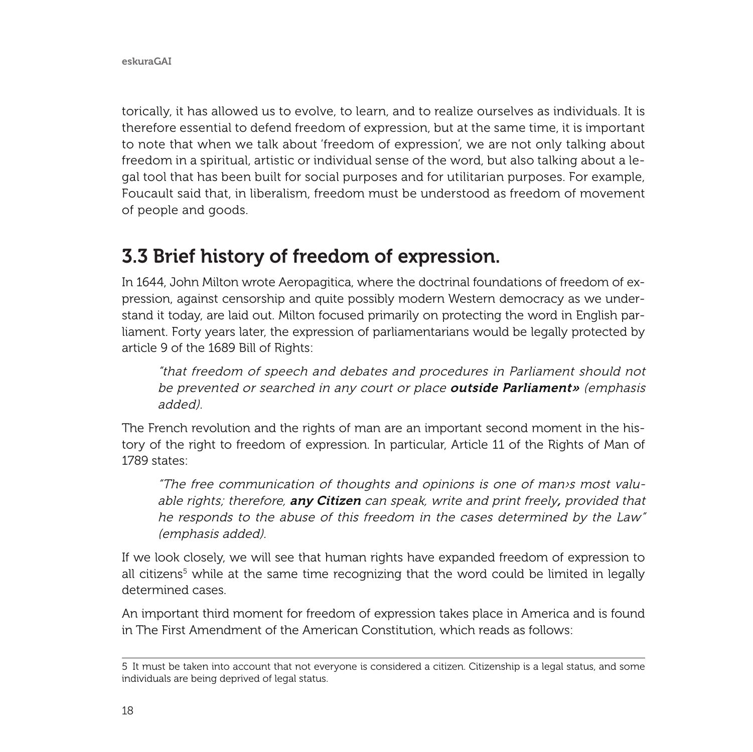torically, it has allowed us to evolve, to learn, and to realize ourselves as individuals. It is therefore essential to defend freedom of expression, but at the same time, it is important to note that when we talk about 'freedom of expression', we are not only talking about freedom in a spiritual, artistic or individual sense of the word, but also talking about a legal tool that has been built for social purposes and for utilitarian purposes. For example, Foucault said that, in liberalism, freedom must be understood as freedom of movement of people and goods.

### 3.3 Brief history of freedom of expression.

In 1644, John Milton wrote Aeropagitica, where the doctrinal foundations of freedom of expression, against censorship and quite possibly modern Western democracy as we understand it today, are laid out. Milton focused primarily on protecting the word in English parliament. Forty years later, the expression of parliamentarians would be legally protected by article 9 of the 1689 Bill of Rights:

"that freedom of speech and debates and procedures in Parliament should not be prevented or searched in any court or place **outside Parliament»** (emphasis added).

The French revolution and the rights of man are an important second moment in the history of the right to freedom of expression. In particular, Article 11 of the Rights of Man of 1789 states:

"The free communication of thoughts and opinions is one of man›s most valuable rights; therefore, any Citizen can speak, write and print freely, provided that he responds to the abuse of this freedom in the cases determined by the Law" (emphasis added).

If we look closely, we will see that human rights have expanded freedom of expression to all citizens<sup>5</sup> while at the same time recognizing that the word could be limited in legally determined cases.

An important third moment for freedom of expression takes place in America and is found in The First Amendment of the American Constitution, which reads as follows:

<sup>5</sup> It must be taken into account that not everyone is considered a citizen. Citizenship is a legal status, and some individuals are being deprived of legal status.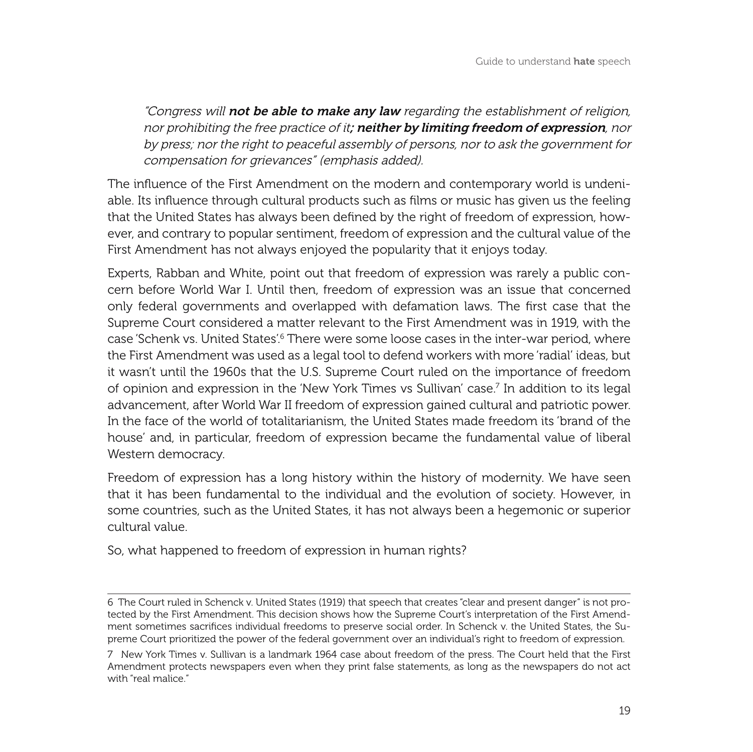"Congress will not be able to make any law regarding the establishment of religion, nor prohibiting the free practice of it; neither by limiting freedom of expression, nor by press; nor the right to peaceful assembly of persons, nor to ask the government for compensation for grievances" (emphasis added).

The influence of the First Amendment on the modern and contemporary world is undeniable. Its influence through cultural products such as films or music has given us the feeling that the United States has always been defined by the right of freedom of expression, however, and contrary to popular sentiment, freedom of expression and the cultural value of the First Amendment has not always enjoyed the popularity that it enjoys today.

Experts, Rabban and White, point out that freedom of expression was rarely a public concern before World War I. Until then, freedom of expression was an issue that concerned only federal governments and overlapped with defamation laws. The first case that the Supreme Court considered a matter relevant to the First Amendment was in 1919, with the case 'Schenk vs. United States'.<sup>6</sup> There were some loose cases in the inter-war period, where the First Amendment was used as a legal tool to defend workers with more 'radial' ideas, but it wasn't until the 1960s that the U.S. Supreme Court ruled on the importance of freedom of opinion and expression in the 'New York Times vs Sullivan' case.7 In addition to its legal advancement, after World War II freedom of expression gained cultural and patriotic power. In the face of the world of totalitarianism, the United States made freedom its 'brand of the house' and, in particular, freedom of expression became the fundamental value of liberal Western democracy.

Freedom of expression has a long history within the history of modernity. We have seen that it has been fundamental to the individual and the evolution of society. However, in some countries, such as the United States, it has not always been a hegemonic or superior cultural value.

So, what happened to freedom of expression in human rights?

<sup>6</sup> The Court ruled in Schenck v. United States (1919) that speech that creates "clear and present danger" is not protected by the First Amendment. This decision shows how the Supreme Court's interpretation of the First Amendment sometimes sacrifices individual freedoms to preserve social order. In Schenck v. the United States, the Supreme Court prioritized the power of the federal government over an individual's right to freedom of expression.

<sup>7</sup> New York Times v. Sullivan is a landmark 1964 case about freedom of the press. The Court held that the First Amendment protects newspapers even when they print false statements, as long as the newspapers do not act with "real malice."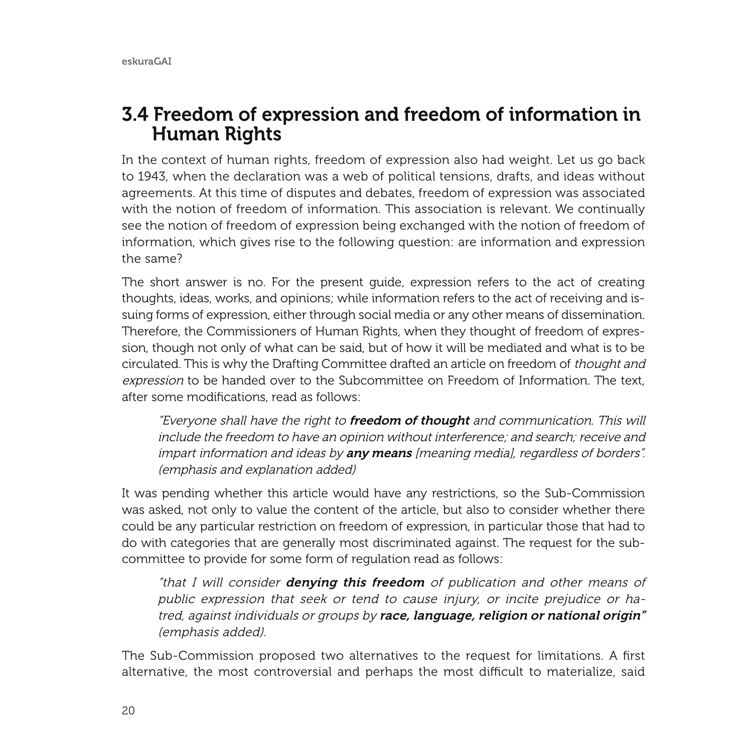#### 3.4 Freedom of expression and freedom of information in Human Rights

In the context of human rights, freedom of expression also had weight. Let us go back to 1943, when the declaration was a web of political tensions, drafts, and ideas without agreements. At this time of disputes and debates, freedom of expression was associated with the notion of freedom of information. This association is relevant. We continually see the notion of freedom of expression being exchanged with the notion of freedom of information, which gives rise to the following question: are information and expression the same?

The short answer is no. For the present guide, expression refers to the act of creating thoughts, ideas, works, and opinions; while information refers to the act of receiving and issuing forms of expression, either through social media or any other means of dissemination. Therefore, the Commissioners of Human Rights, when they thought of freedom of expression, though not only of what can be said, but of how it will be mediated and what is to be circulated. This is why the Drafting Committee drafted an article on freedom of thought and expression to be handed over to the Subcommittee on Freedom of Information. The text, after some modifications, read as follows:

"Everyone shall have the right to freedom of thought and communication. This will include the freedom to have an opinion without interference; and search; receive and impart information and ideas by any means [meaning media], regardless of borders". (emphasis and explanation added)

It was pending whether this article would have any restrictions, so the Sub-Commission was asked, not only to value the content of the article, but also to consider whether there could be any particular restriction on freedom of expression, in particular those that had to do with categories that are generally most discriminated against. The request for the subcommittee to provide for some form of regulation read as follows:

"that I will consider **denying this freedom** of publication and other means of public expression that seek or tend to cause injury, or incite prejudice or hatred, against individuals or groups by race, language, religion or national origin" (emphasis added).

The Sub-Commission proposed two alternatives to the request for limitations. A first alternative, the most controversial and perhaps the most difficult to materialize, said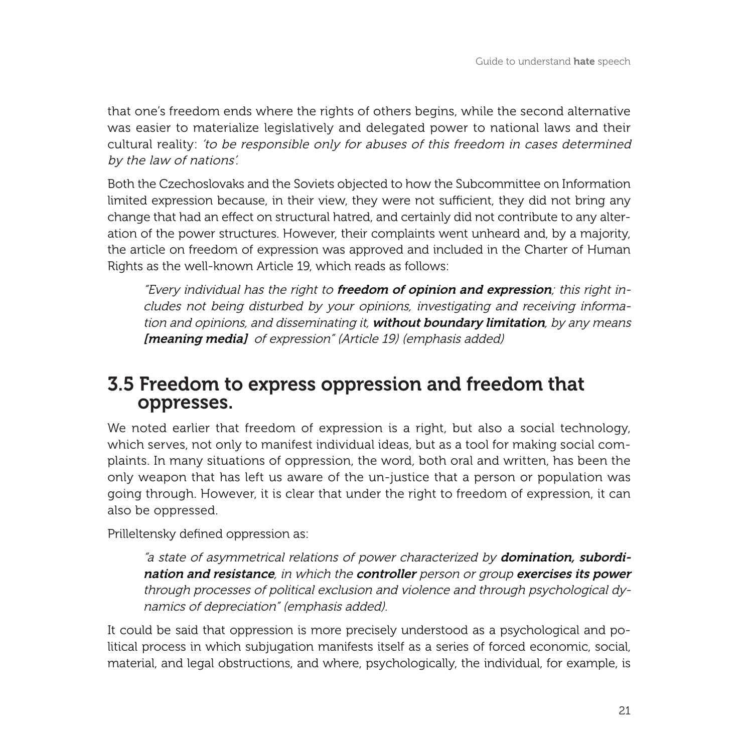that one's freedom ends where the rights of others begins, while the second alternative was easier to materialize legislatively and delegated power to national laws and their cultural reality: 'to be responsible only for abuses of this freedom in cases determined by the law of nations'.

Both the Czechoslovaks and the Soviets objected to how the Subcommittee on Information limited expression because, in their view, they were not sufficient, they did not bring any change that had an effect on structural hatred, and certainly did not contribute to any alteration of the power structures. However, their complaints went unheard and, by a majority, the article on freedom of expression was approved and included in the Charter of Human Rights as the well-known Article 19, which reads as follows:

"Every individual has the right to freedom of opinion and expression; this right includes not being disturbed by your opinions, investigating and receiving information and opinions, and disseminating it, **without boundary limitation**, by any means [meaning media] of expression" (Article 19) (emphasis added)

#### 3.5 Freedom to express oppression and freedom that oppresses.

We noted earlier that freedom of expression is a right, but also a social technology, which serves, not only to manifest individual ideas, but as a tool for making social complaints. In many situations of oppression, the word, both oral and written, has been the only weapon that has left us aware of the un-justice that a person or population was going through. However, it is clear that under the right to freedom of expression, it can also be oppressed.

Prilleltensky defined oppression as:

"a state of asymmetrical relations of power characterized by **domination, subordi**nation and resistance, in which the controller person or group exercises its power through processes of political exclusion and violence and through psychological dynamics of depreciation" (emphasis added).

It could be said that oppression is more precisely understood as a psychological and political process in which subjugation manifests itself as a series of forced economic, social, material, and legal obstructions, and where, psychologically, the individual, for example, is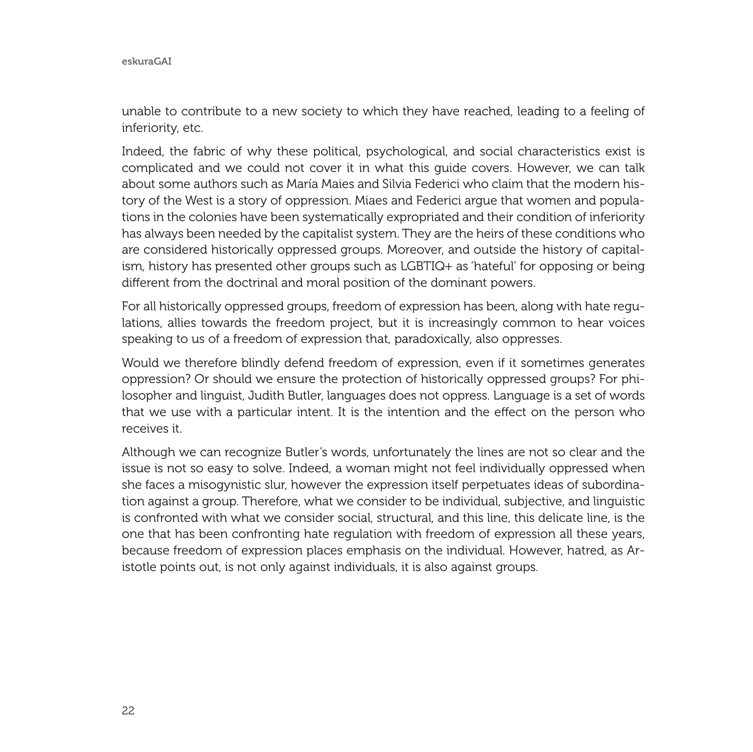eskuraGAI

unable to contribute to a new society to which they have reached, leading to a feeling of inferiority, etc.

Indeed, the fabric of why these political, psychological, and social characteristics exist is complicated and we could not cover it in what this guide covers. However, we can talk about some authors such as María Maies and Silvia Federici who claim that the modern history of the West is a story of oppression. Miaes and Federici argue that women and populations in the colonies have been systematically expropriated and their condition of inferiority has always been needed by the capitalist system. They are the heirs of these conditions who are considered historically oppressed groups. Moreover, and outside the history of capitalism, history has presented other groups such as LGBTIQ+ as 'hateful' for opposing or being different from the doctrinal and moral position of the dominant powers.

For all historically oppressed groups, freedom of expression has been, along with hate regulations, allies towards the freedom project, but it is increasingly common to hear voices speaking to us of a freedom of expression that, paradoxically, also oppresses.

Would we therefore blindly defend freedom of expression, even if it sometimes generates oppression? Or should we ensure the protection of historically oppressed groups? For philosopher and linguist, Judith Butler, languages does not oppress. Language is a set of words that we use with a particular intent. It is the intention and the effect on the person who receives it.

Although we can recognize Butler's words, unfortunately the lines are not so clear and the issue is not so easy to solve. Indeed, a woman might not feel individually oppressed when she faces a misogynistic slur, however the expression itself perpetuates ideas of subordination against a group. Therefore, what we consider to be individual, subjective, and linguistic is confronted with what we consider social, structural, and this line, this delicate line, is the one that has been confronting hate regulation with freedom of expression all these years, because freedom of expression places emphasis on the individual. However, hatred, as Aristotle points out, is not only against individuals, it is also against groups.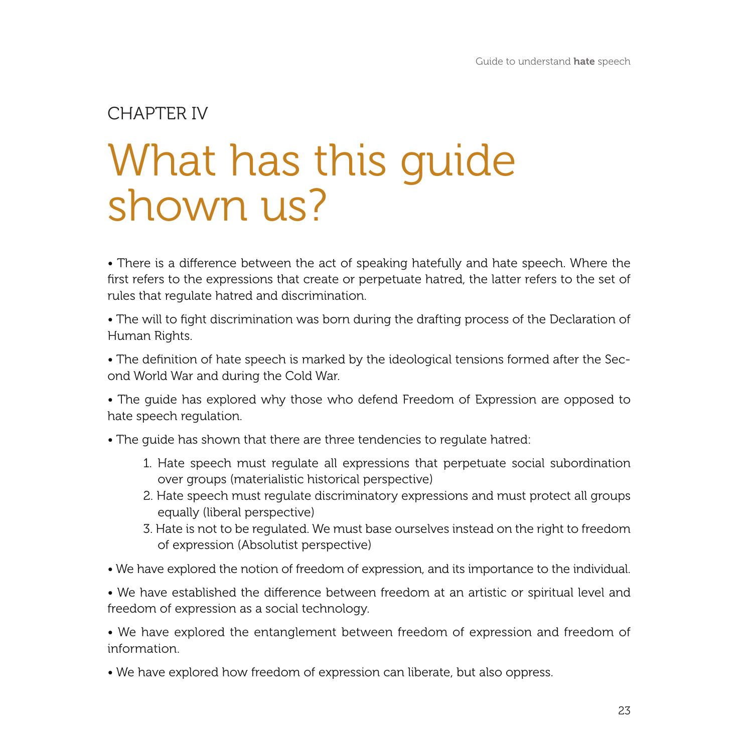# What has this guide shown us? CHAPTER IV

• There is a difference between the act of speaking hatefully and hate speech. Where the first refers to the expressions that create or perpetuate hatred, the latter refers to the set of rules that regulate hatred and discrimination.

• The will to fight discrimination was born during the drafting process of the Declaration of Human Rights.

• The definition of hate speech is marked by the ideological tensions formed after the Second World War and during the Cold War.

• The guide has explored why those who defend Freedom of Expression are opposed to hate speech regulation.

• The guide has shown that there are three tendencies to regulate hatred:

- 1. Hate speech must regulate all expressions that perpetuate social subordination over groups (materialistic historical perspective)
- 2. Hate speech must regulate discriminatory expressions and must protect all groups equally (liberal perspective)
- 3. Hate is not to be regulated. We must base ourselves instead on the right to freedom of expression (Absolutist perspective)
- We have explored the notion of freedom of expression, and its importance to the individual.

• We have established the difference between freedom at an artistic or spiritual level and freedom of expression as a social technology.

• We have explored the entanglement between freedom of expression and freedom of information.

• We have explored how freedom of expression can liberate, but also oppress.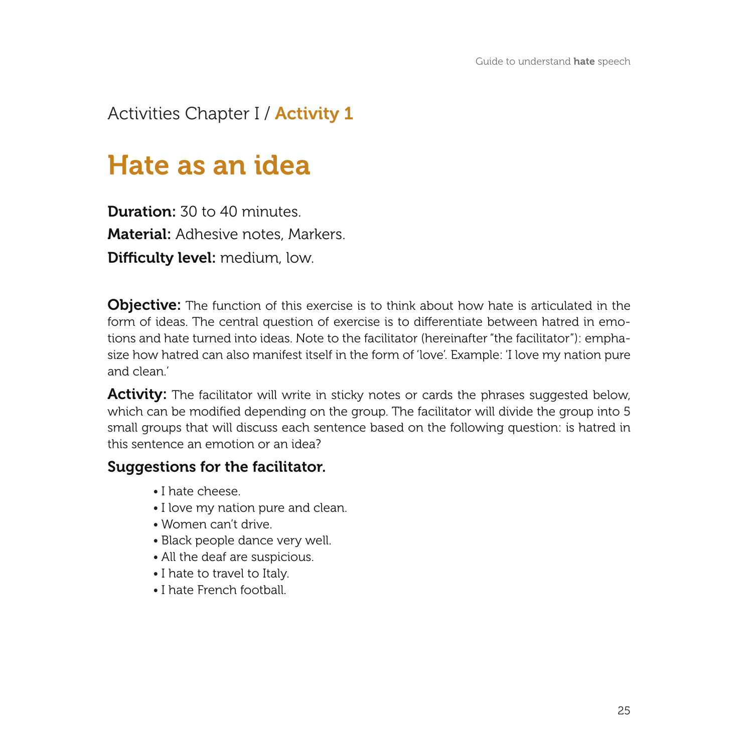#### Activities Chapter I / Activity 1

## Hate as an idea

Duration: 30 to 40 minutes Material: Adhesive notes, Markers. Difficulty level: medium, low.

**Objective:** The function of this exercise is to think about how hate is articulated in the form of ideas. The central question of exercise is to differentiate between hatred in emotions and hate turned into ideas. Note to the facilitator (hereinafter "the facilitator"): emphasize how hatred can also manifest itself in the form of 'love'. Example: 'I love my nation pure and clean.'

Activity: The facilitator will write in sticky notes or cards the phrases suggested below, which can be modified depending on the group. The facilitator will divide the group into 5 small groups that will discuss each sentence based on the following question: is hatred in this sentence an emotion or an idea?

#### Suggestions for the facilitator.

- I hate cheese.
- I love my nation pure and clean.
- Women can't drive.
- Black people dance very well.
- All the deaf are suspicious.
- I hate to travel to Italy.
- I hate French football.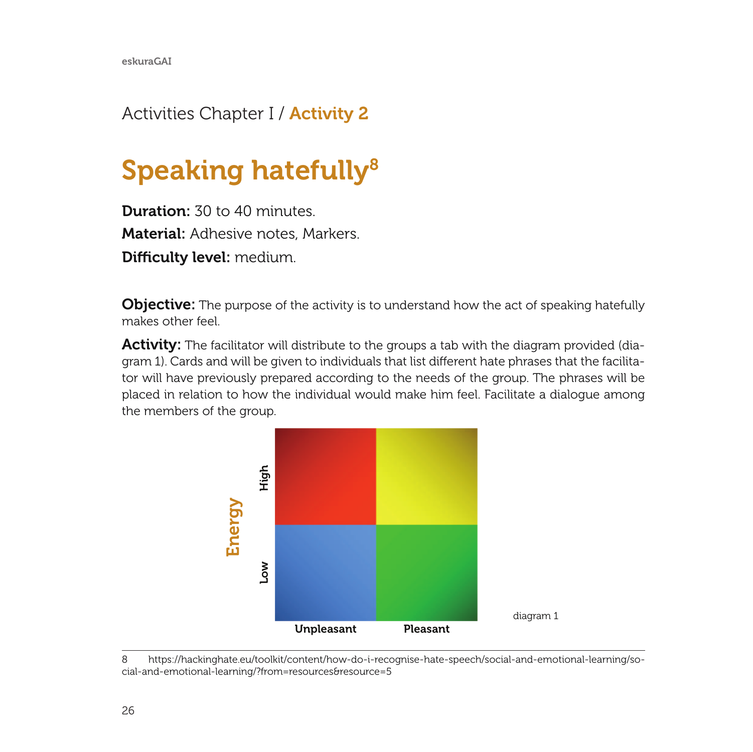### Activities Chapter I / **Activity 2**

# Speaking hatefully<sup>8</sup>

Duration:  $30 \text{ to } 40 \text{ minutes}$ Material: Adhesive notes, Markers. Difficulty level: medium.

**Objective:** The purpose of the activity is to understand how the act of speaking hatefully makes other feel.

Activity: The facilitator will distribute to the groups a tab with the diagram provided (diagram 1). Cards and will be given to individuals that list different hate phrases that the facilitator will have previously prepared according to the needs of the group. The phrases will be placed in relation to how the individual would make him feel. Facilitate a dialogue among the members of the group.



<sup>8</sup> https://hackinghate.eu/toolkit/content/how-do-i-recognise-hate-speech/social-and-emotional-learning/so-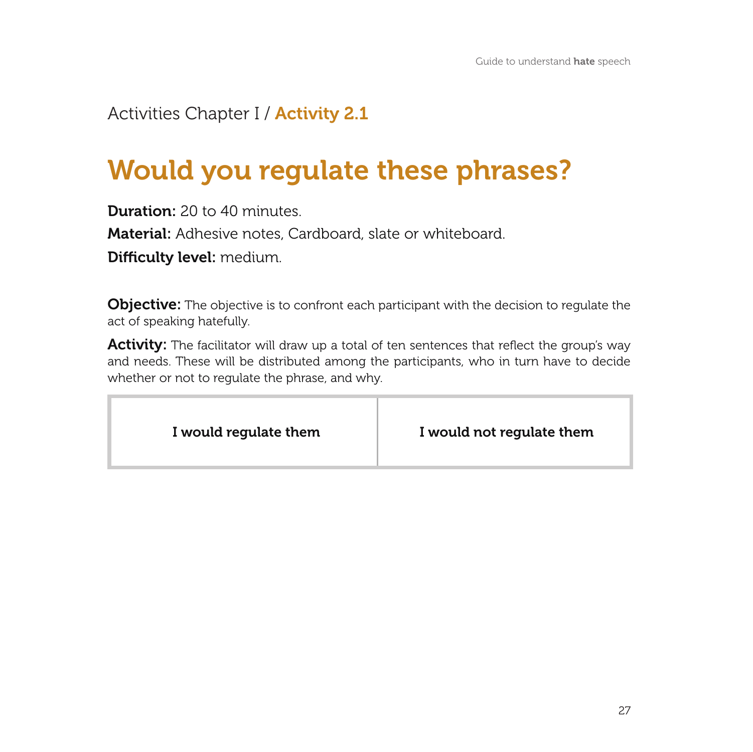#### Activities Chapter I / **Activity 2.1**

# Would you regulate these phrases?

Duration: 20 to 40 minutes

Material: Adhesive notes, Cardboard, slate or whiteboard.

Difficulty level: medium.

**Objective:** The objective is to confront each participant with the decision to regulate the act of speaking hatefully.

Activity: The facilitator will draw up a total of ten sentences that reflect the group's way and needs. These will be distributed among the participants, who in turn have to decide whether or not to regulate the phrase, and why.

|--|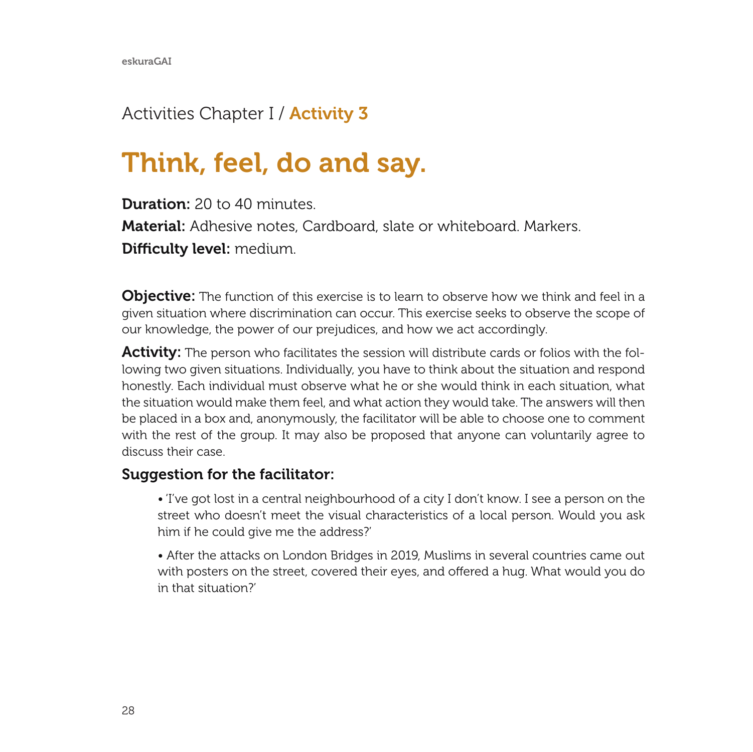#### Activities Chapter I / **Activity 3**

## Think, feel, do and say.

Duration: 20 to 40 minutes

Material: Adhesive notes, Cardboard, slate or whiteboard. Markers.

Difficulty level: medium.

**Objective:** The function of this exercise is to learn to observe how we think and feel in a given situation where discrimination can occur. This exercise seeks to observe the scope of our knowledge, the power of our prejudices, and how we act accordingly.

**Activity:** The person who facilitates the session will distribute cards or folios with the following two given situations. Individually, you have to think about the situation and respond honestly. Each individual must observe what he or she would think in each situation, what the situation would make them feel, and what action they would take. The answers will then be placed in a box and, anonymously, the facilitator will be able to choose one to comment with the rest of the group. It may also be proposed that anyone can voluntarily agree to discuss their case.

#### Suggestion for the facilitator:

• 'I've got lost in a central neighbourhood of a city I don't know. I see a person on the street who doesn't meet the visual characteristics of a local person. Would you ask him if he could give me the address?'

• After the attacks on London Bridges in 2019, Muslims in several countries came out with posters on the street, covered their eyes, and offered a hug. What would you do in that situation?'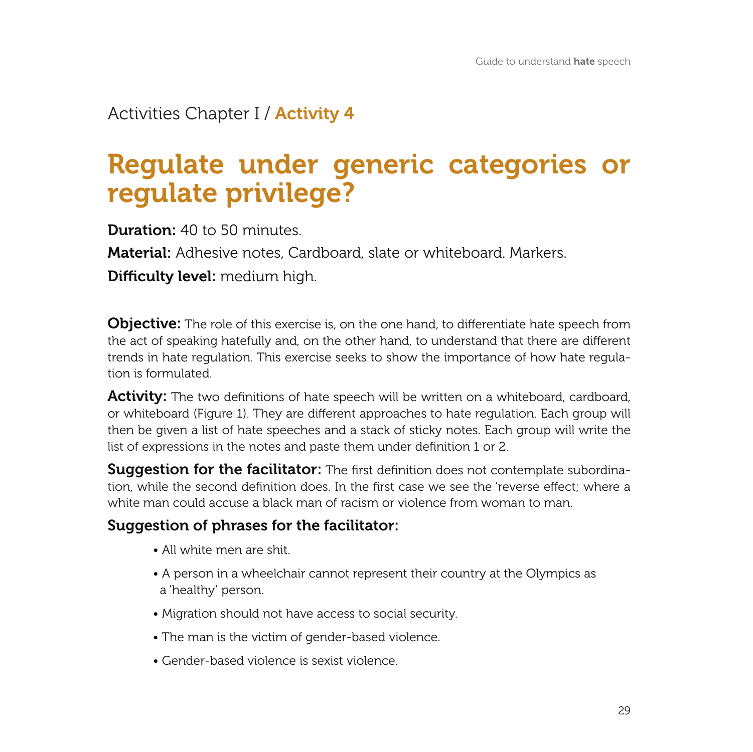#### Activities Chapter I / Activity 4

## regulate privilege?Regulate under generic categories or

Duration: 40 to 50 minutes

Material: Adhesive notes, Cardboard, slate or whiteboard. Markers.

Difficulty level: medium high.

**Objective:** The role of this exercise is, on the one hand, to differentiate hate speech from the act of speaking hatefully and, on the other hand, to understand that there are different trends in hate regulation. This exercise seeks to show the importance of how hate regulation is formulated.

**Activity:** The two definitions of hate speech will be written on a whiteboard, cardboard, or whiteboard (Figure 1). They are different approaches to hate regulation. Each group will then be given a list of hate speeches and a stack of sticky notes. Each group will write the list of expressions in the notes and paste them under definition 1 or 2.

**Suggestion for the facilitator:** The first definition does not contemplate subordination, while the second definition does. In the first case we see the 'reverse effect; where a white man could accuse a black man of racism or violence from woman to man.

#### Suggestion of phrases for the facilitator:

- All white men are shit.
- A person in a wheelchair cannot represent their country at the Olympics as a 'healthy' person.
- Migration should not have access to social security.
- The man is the victim of gender-based violence.
- Gender-based violence is sexist violence.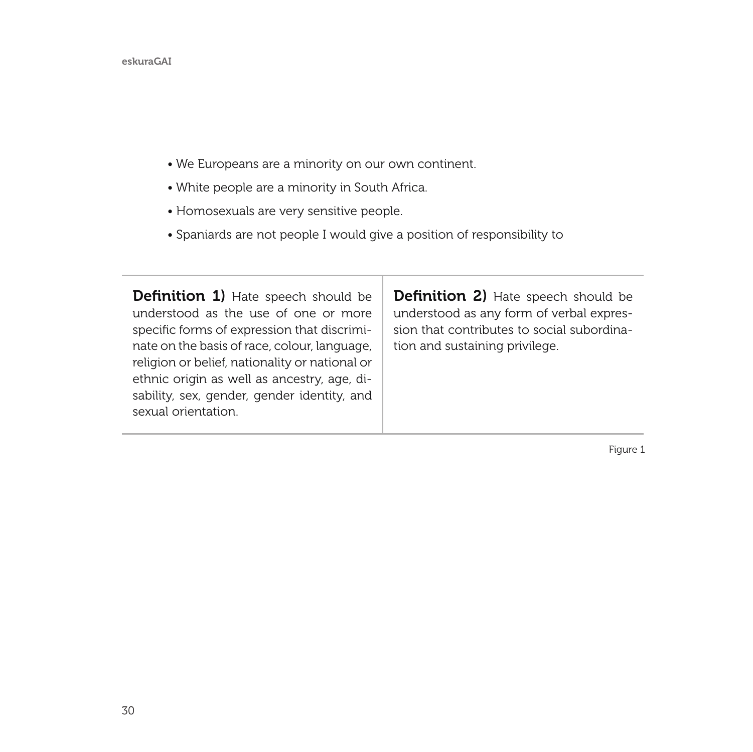#### eskuraGAI

- We Europeans are a minority on our own continent.
- White people are a minority in South Africa.
- Homosexuals are very sensitive people.
- Spaniards are not people I would give a position of responsibility to

| <b>Definition 1)</b> Hate speech should be<br>understood as the use of one or more<br>specific forms of expression that discrimi-<br>nate on the basis of race, colour, language,<br>religion or belief, nationality or national or<br>ethnic origin as well as ancestry, age, di-<br>sability, sex, gender, gender identity, and<br>sexual orientation. | <b>Definition 2)</b> Hate speech should be<br>understood as any form of verbal expres-<br>sion that contributes to social subordina-<br>tion and sustaining privilege. |
|----------------------------------------------------------------------------------------------------------------------------------------------------------------------------------------------------------------------------------------------------------------------------------------------------------------------------------------------------------|------------------------------------------------------------------------------------------------------------------------------------------------------------------------|
|----------------------------------------------------------------------------------------------------------------------------------------------------------------------------------------------------------------------------------------------------------------------------------------------------------------------------------------------------------|------------------------------------------------------------------------------------------------------------------------------------------------------------------------|

т

Figure 1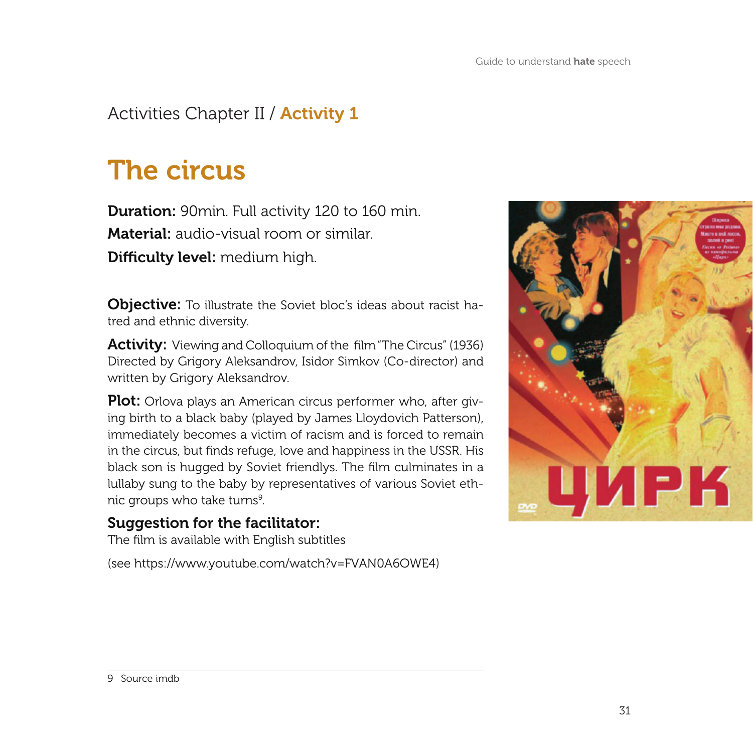### Activities Chapter II / **Activity 1**

# The circus

Duration: 90min. Full activity 120 to 160 min. Material: audio-visual room or similar.

Difficulty level: medium high.

**Objective:** To illustrate the Soviet bloc's ideas about racist hatred and ethnic diversity.

Activity: Viewing and Colloquium of the film "The Circus" (1936) Directed by Grigory Aleksandrov, Isidor Simkov (Co-director) and written by Grigory Aleksandrov.

**Plot:** Orlova plays an American circus performer who, after giving birth to a black baby (played by James Lloydovich Patterson), immediately becomes a victim of racism and is forced to remain in the circus, but finds refuge, love and happiness in the USSR. His black son is hugged by Soviet friendlys. The film culminates in a lullaby sung to the baby by representatives of various Soviet ethnic groups who take turns<sup>9</sup>.

#### Suggestion for the facilitator:

The film is available with English subtitles

(see https://www.youtube.com/watch?v=FVAN0A6OWE4)

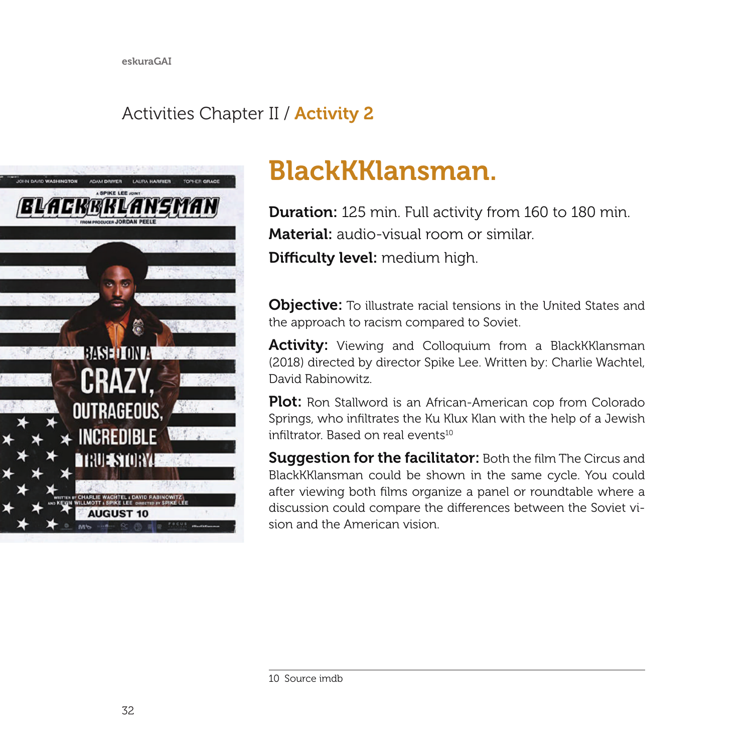### Activities Chapter II / Activity 2



# BlackKKlansman.

**Duration:** 125 min. Full activity from 160 to 180 min. Material: audio-visual room or similar. Difficulty level: medium high.

**Objective:** To illustrate racial tensions in the United States and the approach to racism compared to Soviet.

Activity: Viewing and Colloquium from a BlackKKlansman (2018) directed by director Spike Lee. Written by: Charlie Wachtel, David Rabinowitz.

Plot: Ron Stallword is an African-American cop from Colorado Springs, who infiltrates the Ku Klux Klan with the help of a Jewish infiltrator. Based on real events<sup>10</sup>

Suggestion for the facilitator: Both the film The Circus and BlackKKlansman could be shown in the same cycle. You could after viewing both films organize a panel or roundtable where a discussion could compare the differences between the Soviet vision and the American vision.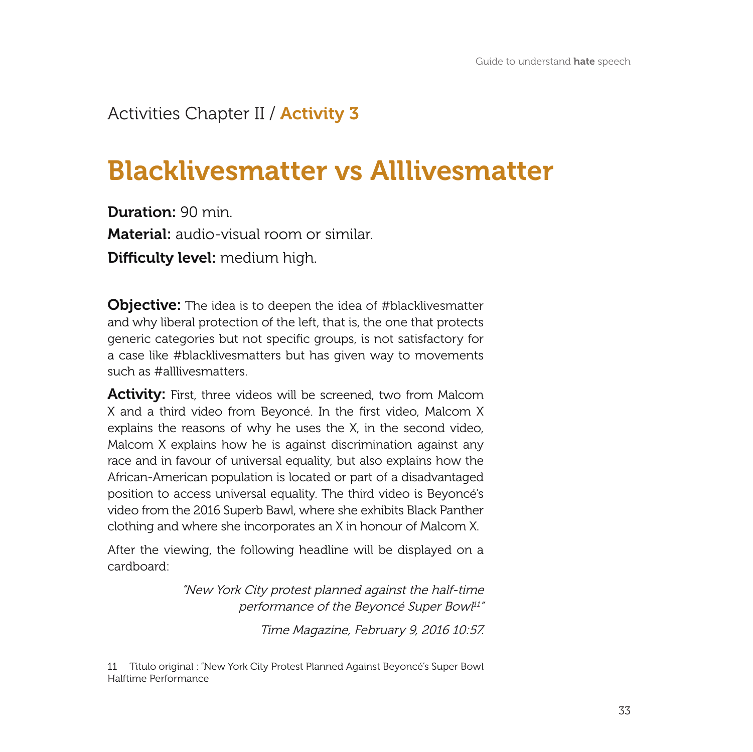#### Activities Chapter II / Activity 3

# Blacklivesmatter vs Alllivesmatter

Duration: 90 min. Material: audio-visual room or similar. Difficulty level: medium high.

**Objective:** The idea is to deepen the idea of #blacklivesmatter and why liberal protection of the left, that is, the one that protects generic categories but not specific groups, is not satisfactory for a case like #blacklivesmatters but has given way to movements such as #alllivesmatters.

**Activity:** First, three videos will be screened, two from Malcom X and a third video from Beyoncé. In the first video, Malcom X explains the reasons of why he uses the X, in the second video, Malcom X explains how he is against discrimination against any race and in favour of universal equality, but also explains how the African-American population is located or part of a disadvantaged position to access universal equality. The third video is Beyoncé's video from the 2016 Superb Bawl, where she exhibits Black Panther clothing and where she incorporates an X in honour of Malcom X.

After the viewing, the following headline will be displayed on a cardboard:

> "New York City protest planned against the half-time performance of the Beyoncé Super Bowl<sup>11"</sup>

> > Time Magazine, February 9, 2016 10:57.

<sup>11</sup> Titulo original : "New York City Protest Planned Against Beyoncé's Super Bowl Halftime Performance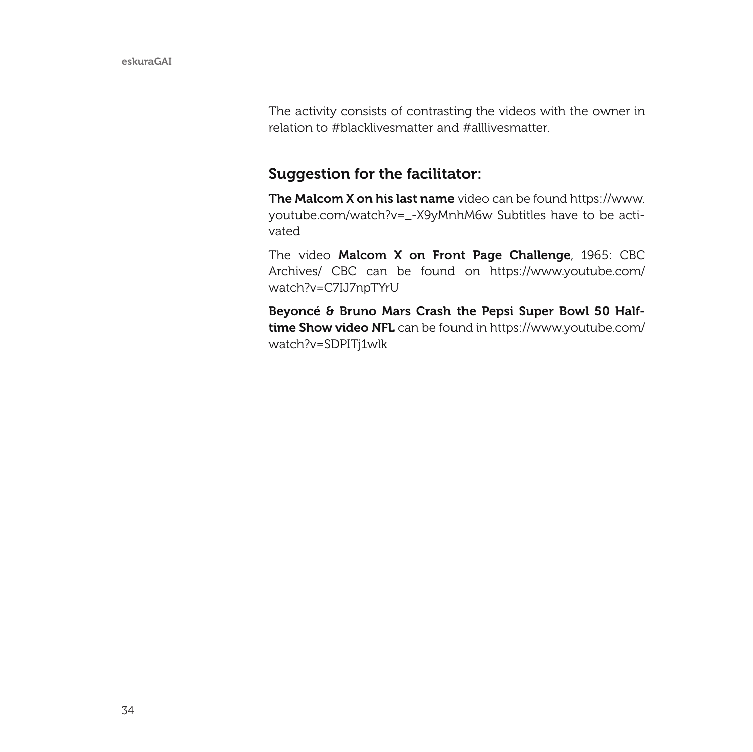The activity consists of contrasting the videos with the owner in relation to #blacklivesmatter and #alllivesmatter.

#### Suggestion for the facilitator:

The Malcom X on his last name video can be found https://www. youtube.com/watch?v=\_-X9yMnhM6w Subtitles have to be activated

The video Malcom X on Front Page Challenge, 1965: CBC Archives/ CBC can be found on https://www.youtube.com/ watch?v=C7IJ7npTYrU

Beyoncé & Bruno Mars Crash the Pepsi Super Bowl 50 Halftime Show video NFL can be found in https://www.youtube.com/ watch?v=SDPITj1wlk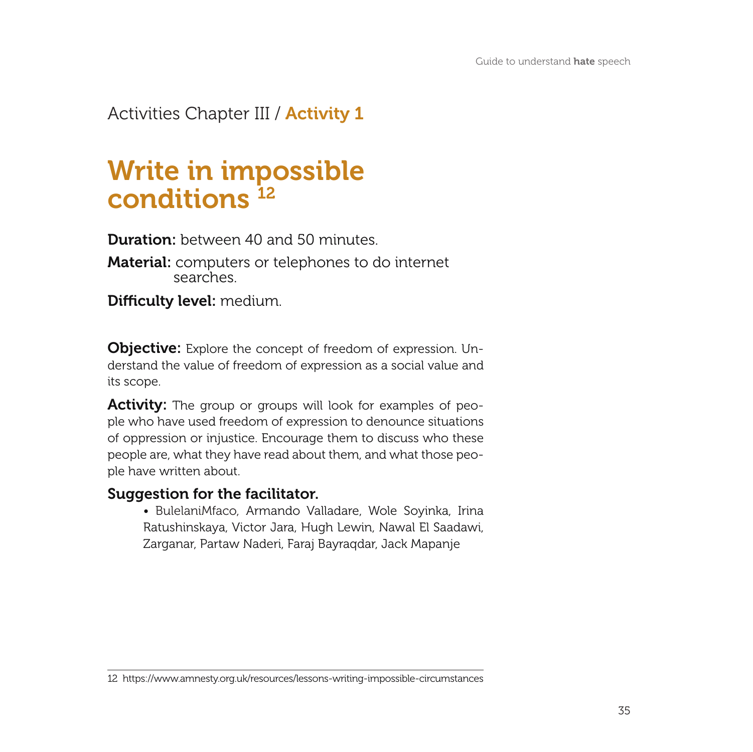Activities Chapter III / **Activity 1** 

## Write in impossible conditions<sup>12</sup>

**Duration:** between 40 and 50 minutes.

Material: computers or telephones to do internet searches.

Difficulty level: medium.

**Objective:** Explore the concept of freedom of expression. Understand the value of freedom of expression as a social value and its scope.

Activity: The group or groups will look for examples of people who have used freedom of expression to denounce situations of oppression or injustice. Encourage them to discuss who these people are, what they have read about them, and what those people have written about.

#### Suggestion for the facilitator.

• BulelaniMfaco, Armando Valladare, Wole Soyinka, Irina Ratushinskaya, Victor Jara, Hugh Lewin, Nawal El Saadawi, Zarganar, Partaw Naderi, Faraj Bayraqdar, Jack Mapanje

<sup>12</sup> https://www.amnesty.org.uk/resources/lessons-writing-impossible-circumstances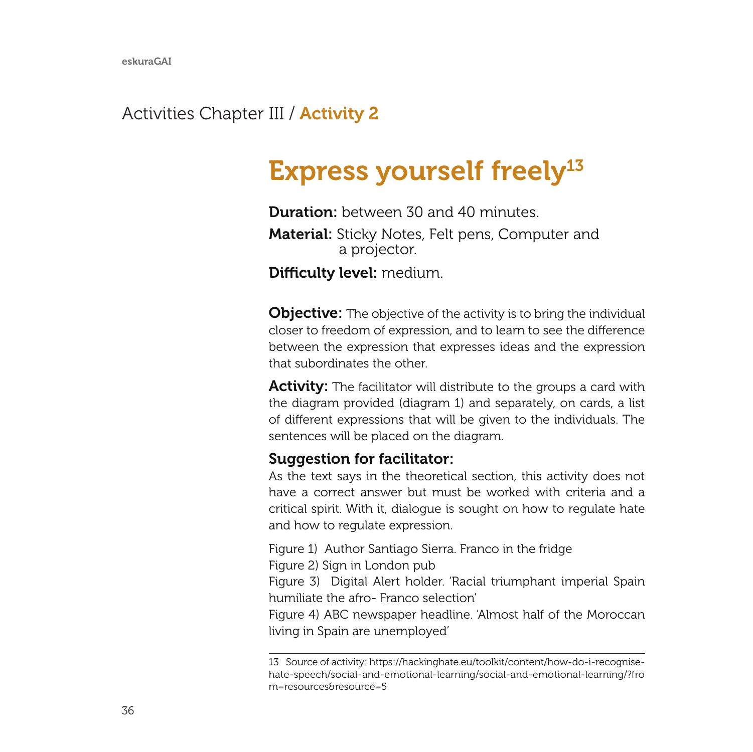#### Activities Chapter III / **Activity 2**

# Express yourself freely $^{13}$

Duration: between 30 and 40 minutes. Material: Sticky Notes, Felt pens, Computer and a projector.

Difficulty level: medium.

**Objective:** The objective of the activity is to bring the individual closer to freedom of expression, and to learn to see the difference between the expression that expresses ideas and the expression that subordinates the other.

**Activity:** The facilitator will distribute to the groups a card with the diagram provided (diagram 1) and separately, on cards, a list of different expressions that will be given to the individuals. The sentences will be placed on the diagram.

#### Suggestion for facilitator:

As the text says in the theoretical section, this activity does not have a correct answer but must be worked with criteria and a critical spirit. With it, dialogue is sought on how to regulate hate and how to regulate expression.

Figure 1) Author Santiago Sierra. Franco in the fridge

Figure 2) Sign in London pub

Figure 3) Digital Alert holder. 'Racial triumphant imperial Spain humiliate the afro- Franco selection'

Figure 4) ABC newspaper headline. 'Almost half of the Moroccan living in Spain are unemployed'

<sup>13</sup> Source of activity: https://hackinghate.eu/toolkit/content/how-do-i-recognisehate-speech/social-and-emotional-learning/social-and-emotional-learning/?fro m=resources&resource=5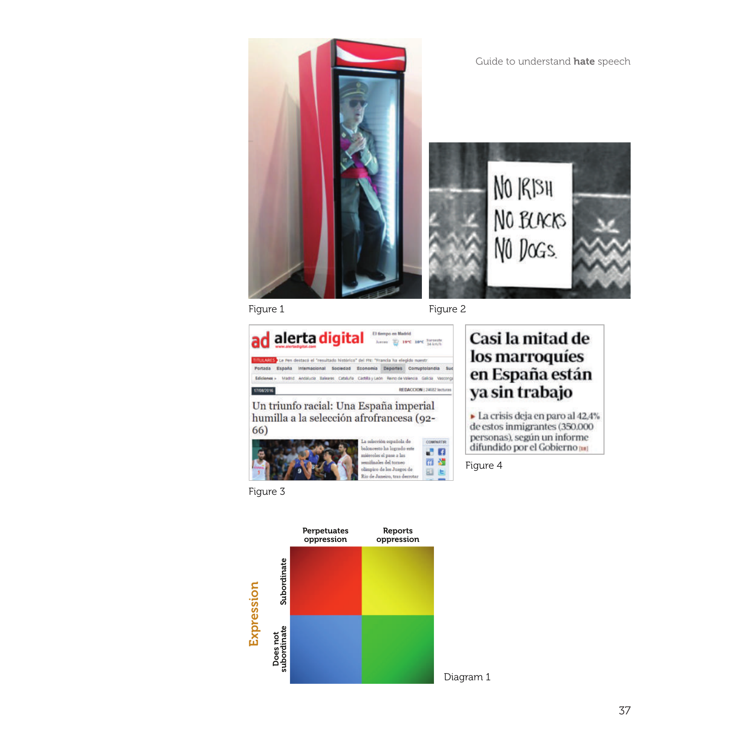Guide to understand hate speech NO 1913H NO BLACKS NO DOGS.

Figure 1 Figure 2





La crisis deja en paro al 42,4% de estos inmigrantes (350,000 personas), según un informe difundido por el Gobierno (18)

Figure 4

Figure 3

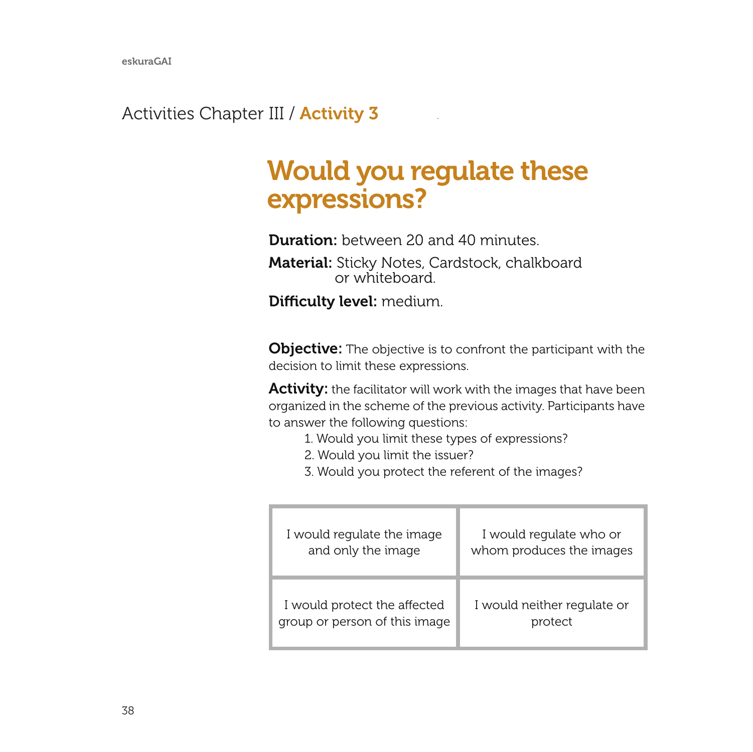#### Activities Chapter III / **Activity 3**

## Would you regulate these expressions?

Duration: between 20 and 40 minutes

Material: Sticky Notes, Cardstock, chalkboard or whiteboard.

Difficulty level: medium.

**Objective:** The objective is to confront the participant with the decision to limit these expressions.

Activity: the facilitator will work with the images that have been organized in the scheme of the previous activity. Participants have to answer the following questions:

- 1. Would you limit these types of expressions?
- 2. Would you limit the issuer?
- 3. Would you protect the referent of the images?

| I would regulate the image    | I would regulate who or     |
|-------------------------------|-----------------------------|
| and only the image            | whom produces the images    |
| I would protect the affected  | I would neither regulate or |
| group or person of this image | protect                     |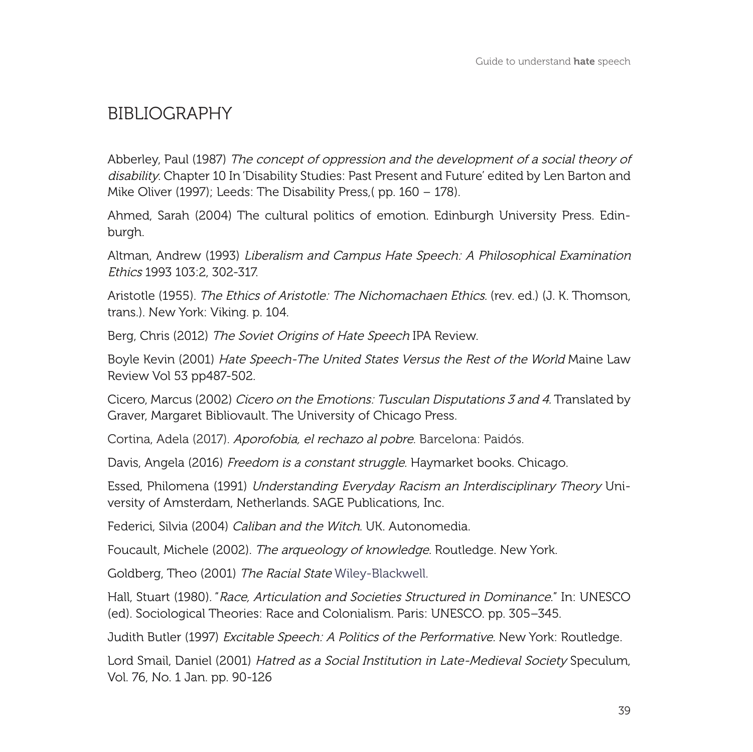#### BIBLIOGRAPHY

Abberley, Paul (1987) The concept of oppression and the development of a social theory of disability. Chapter 10 In 'Disability Studies: Past Present and Future' edited by Len Barton and Mike Oliver (1997); Leeds: The Disability Press,( pp. 160 – 178).

Ahmed, Sarah (2004) The cultural politics of emotion. Edinburgh University Press. Edinburgh.

Altman, Andrew (1993) Liberalism and Campus Hate Speech: A Philosophical Examination Ethics 1993 103:2, 302-317.

Aristotle (1955). The Ethics of Aristotle: The Nichomachaen Ethics. (rev. ed.) (J. K. Thomson, trans.). New York: Viking. p. 104.

Berg, Chris (2012) The Soviet Origins of Hate Speech IPA Review.

Boyle Kevin (2001) Hate Speech-The United States Versus the Rest of the World Maine Law Review Vol 53 pp487-502.

Cicero, Marcus (2002) Cicero on the Emotions: Tusculan Disputations 3 and 4. Translated by Graver, Margaret Bibliovault. The University of Chicago Press.

Cortina, Adela (2017). Aporofobia, el rechazo al pobre. Barcelona: Paidós.

Davis, Angela (2016) Freedom is a constant struggle. Haymarket books. Chicago.

Essed, Philomena (1991) Understanding Everyday Racism an Interdisciplinary Theory University of Amsterdam, Netherlands. SAGE Publications, Inc.

Federici, Silvia (2004) Caliban and the Witch. UK. Autonomedia.

Foucault, Michele (2002). The arqueology of knowledge. Routledge. New York.

Goldberg, Theo (2001) The Racial State Wiley-Blackwell.

Hall, Stuart (1980). "Race, Articulation and Societies Structured in Dominance." In: UNESCO (ed). Sociological Theories: Race and Colonialism. Paris: UNESCO. pp. 305–345.

Judith Butler (1997) Excitable Speech: A Politics of the Performative. New York: Routledge.

Lord Smail, Daniel (2001) Hatred as a Social Institution in Late-Medieval Society Speculum, Vol. 76, No. 1 Jan. pp. 90-126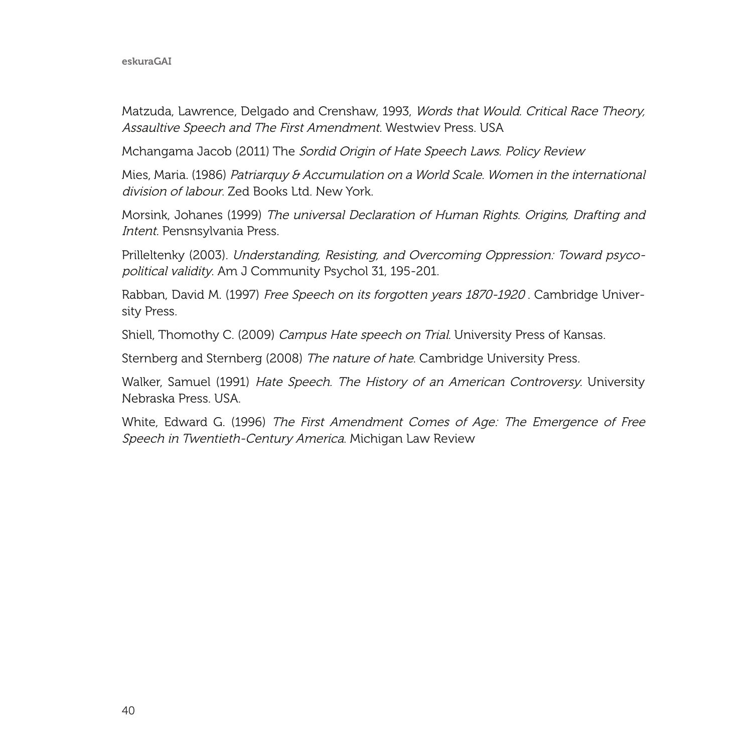#### eskuraGAI

Matzuda, Lawrence, Delgado and Crenshaw, 1993, Words that Would. Critical Race Theory, Assaultive Speech and The First Amendment. Westwiev Press. USA

Mchangama Jacob (2011) The Sordid Origin of Hate Speech Laws. Policy Review

Mies, Maria. (1986) Patriarquy & Accumulation on a World Scale. Women in the international division of labour. Zed Books Ltd. New York.

Morsink, Johanes (1999) The universal Declaration of Human Rights. Origins, Drafting and Intent. Pensnsylvania Press.

Prilleltenky (2003). Understanding, Resisting, and Overcoming Oppression: Toward psycopolitical validity. Am J Community Psychol 31, 195-201.

Rabban, David M. (1997) Free Speech on its forgotten years 1870-1920 . Cambridge University Press.

Shiell, Thomothy C. (2009) Campus Hate speech on Trial. University Press of Kansas.

Sternberg and Sternberg (2008) The nature of hate. Cambridge University Press.

Walker, Samuel (1991) Hate Speech. The History of an American Controversy. University Nebraska Press. USA.

White, Edward G. (1996) The First Amendment Comes of Age: The Emergence of Free Speech in Twentieth-Century America. Michigan Law Review